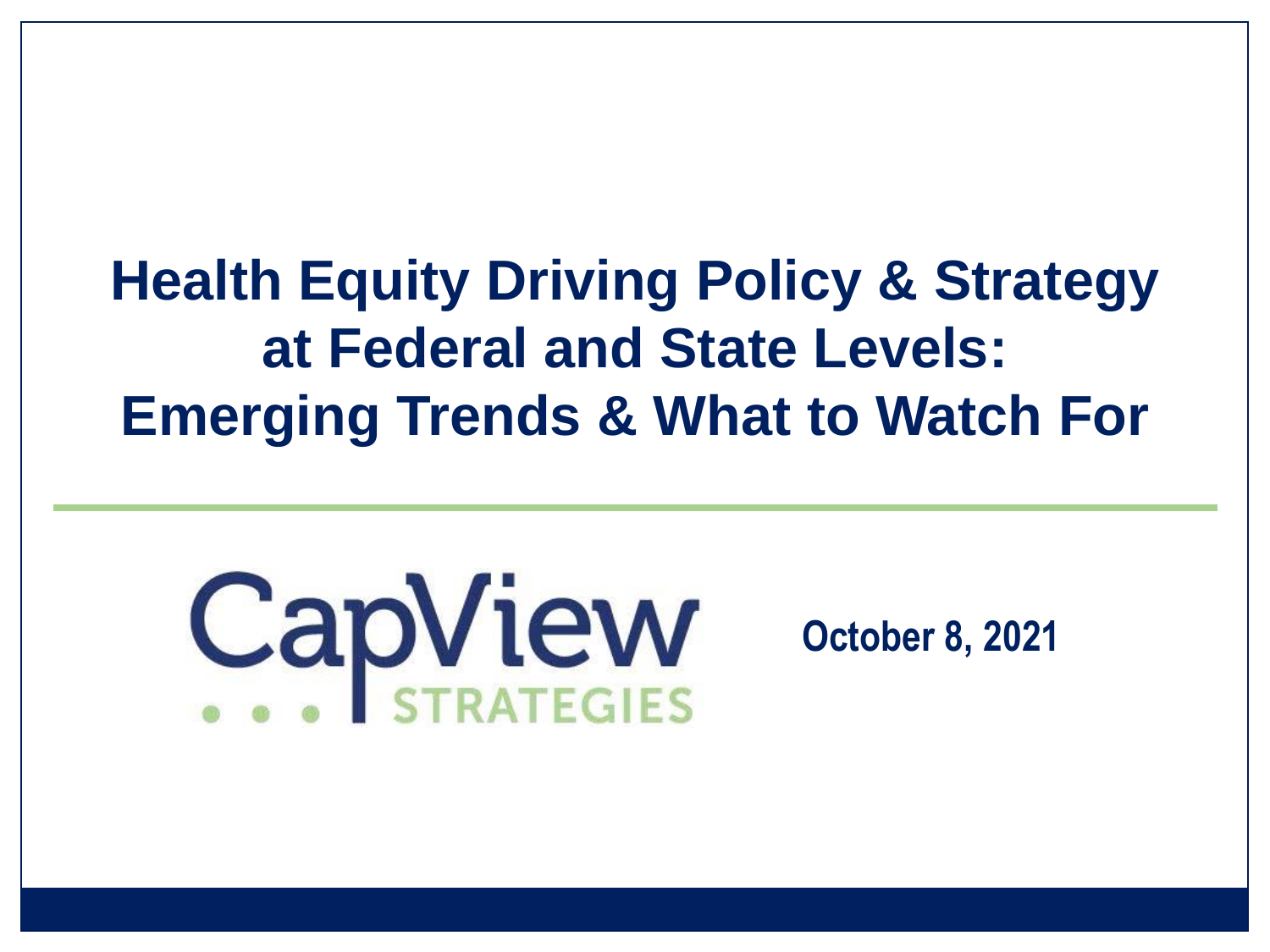# **Health Equity Driving Policy & Strategy at Federal and State Levels: Emerging Trends & What to Watch For**

# CapView

#### **October 8, 2021**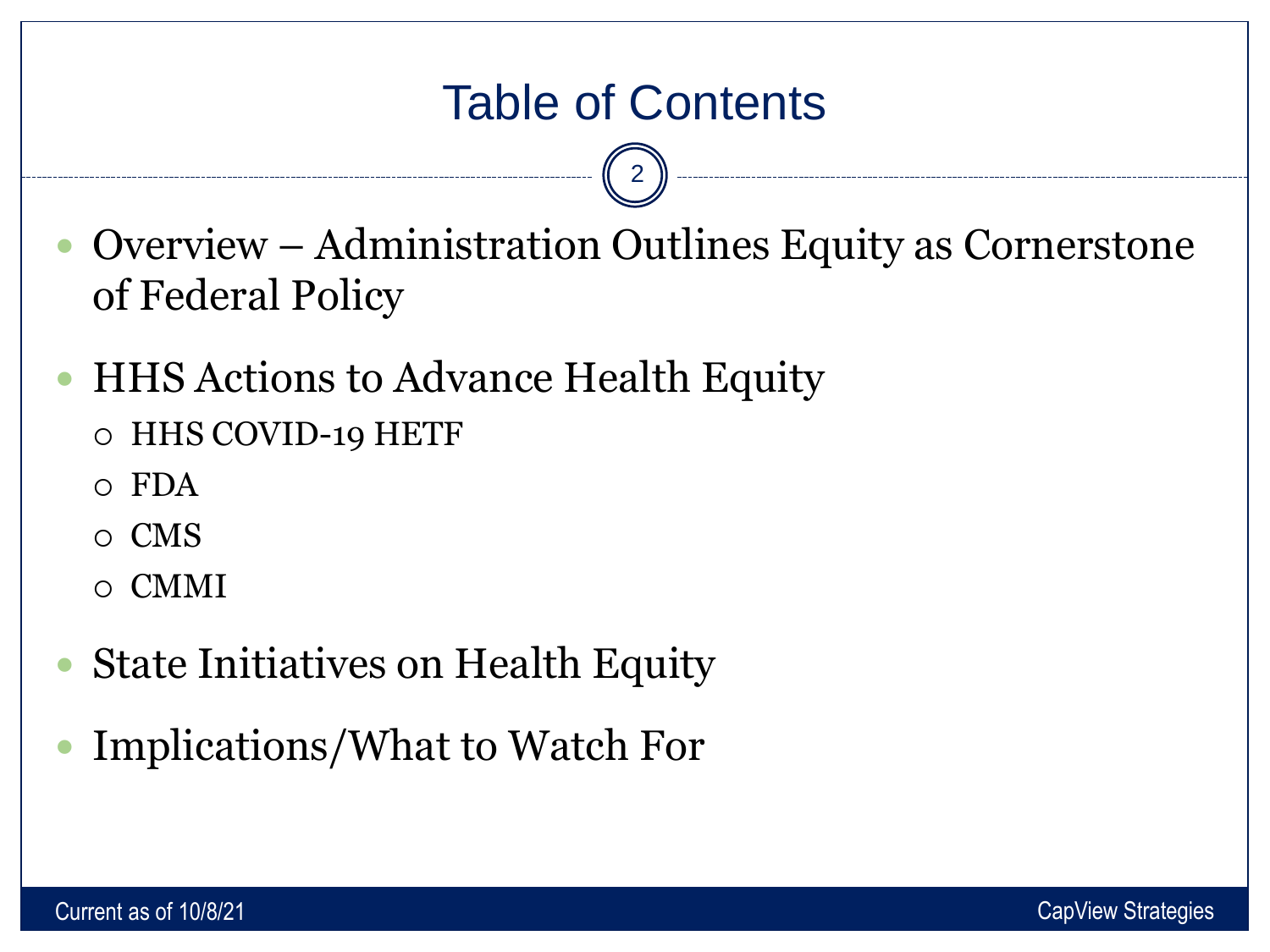# Table of Contents

2

- Overview Administration Outlines Equity as Cornerstone of Federal Policy
- HHS Actions to Advance Health Equity
	- HHS COVID-19 HETF
	- $\circ$  FDA
	- CMS
	- CMMI
- State Initiatives on Health Equity
- Implications/What to Watch For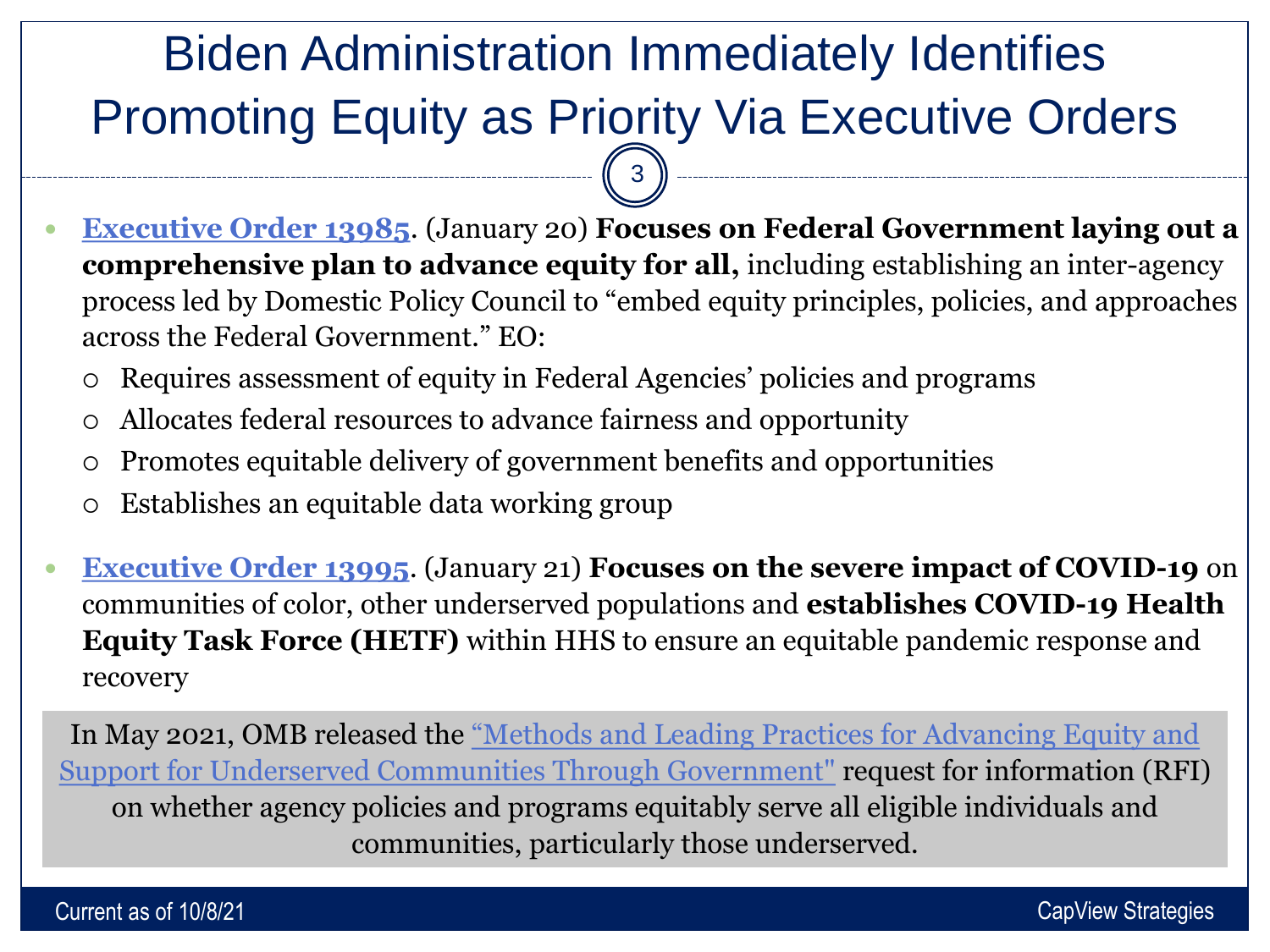# Biden Administration Immediately Identifies Promoting Equity as Priority Via Executive Orders 3

- **[Executive Order 13985](https://www.whitehouse.gov/briefing-room/presidential-actions/2021/01/20/executive-order-advancing-racial-equity-and-support-for-underserved-communities-through-the-federal-government/)**. (January 20) **Focuses on Federal Government laying out a comprehensive plan to advance equity for all,** including establishing an inter-agency process led by Domestic Policy Council to "embed equity principles, policies, and approaches across the Federal Government." EO:
	- Requires assessment of equity in Federal Agencies' policies and programs
	- Allocates federal resources to advance fairness and opportunity
	- Promotes equitable delivery of government benefits and opportunities
	- Establishes an equitable data working group
- **[Executive Order 13995](https://www.whitehouse.gov/briefing-room/presidential-actions/2021/01/21/executive-order-ensuring-an-equitable-pandemic-response-and-recovery/)**. (January 21) **Focuses on the severe impact of COVID-19** on communities of color, other underserved populations and **establishes COVID-19 Health Equity Task Force (HETF)** within HHS to ensure an equitable pandemic response and recovery

In May 2021, OMB released the "Methods and Leading Practices for Advancing Equity and [Support for Underserved Communities Through Government"](https://www.federalregister.gov/documents/2021/05/05/2021-09109/methods-and-leading-practices-for-advancing-equity-and-support-for-underserved-communities-through) request for information (RFI) on whether agency policies and programs equitably serve all eligible individuals and communities, particularly those underserved.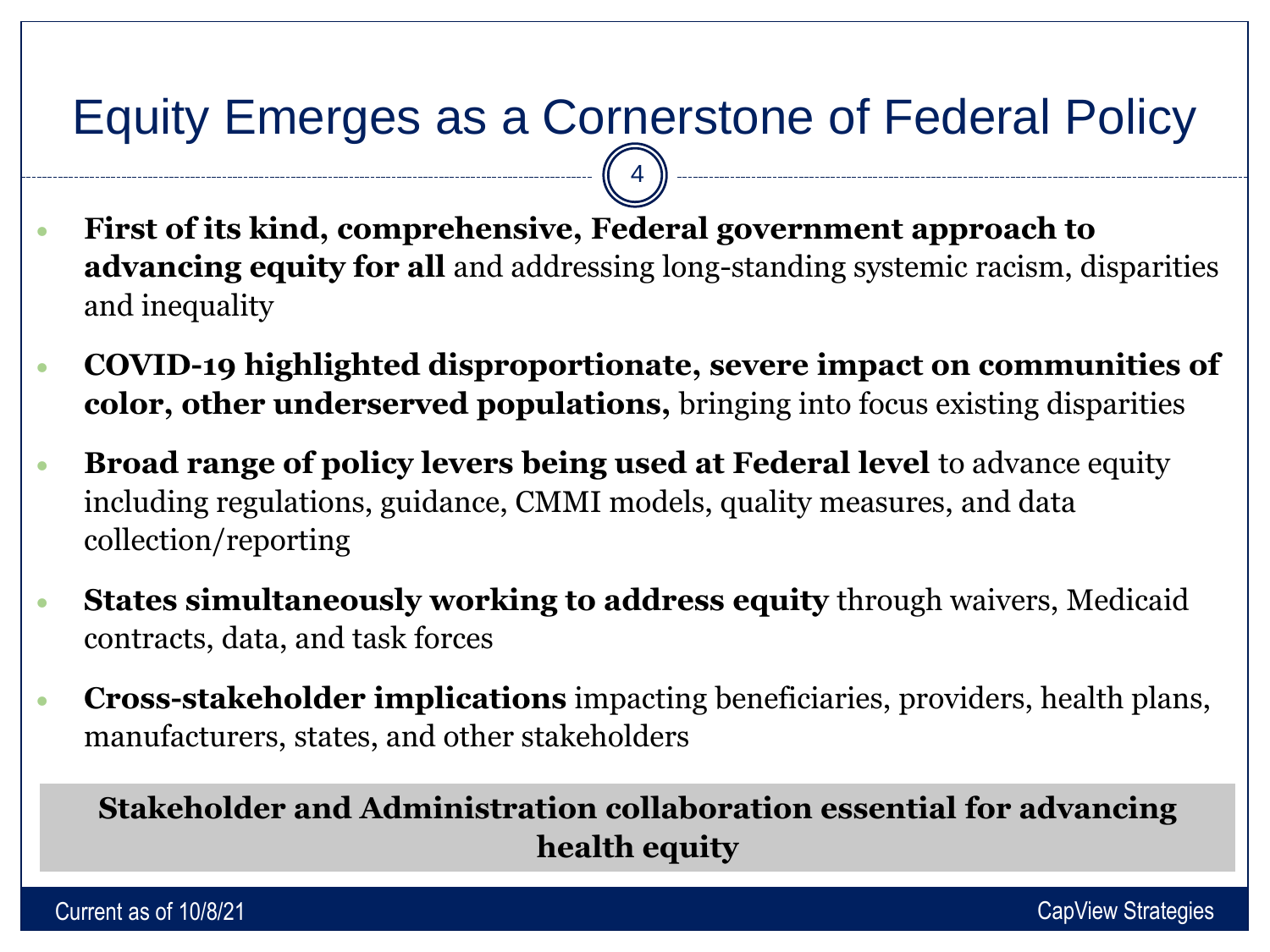# Equity Emerges as a Cornerstone of Federal Policy

4

- **First of its kind, comprehensive, Federal government approach to advancing equity for all** and addressing long-standing systemic racism, disparities and inequality
- **COVID-19 highlighted disproportionate, severe impact on communities of color, other underserved populations,** bringing into focus existing disparities
- **Broad range of policy levers being used at Federal level** to advance equity including regulations, guidance, CMMI models, quality measures, and data collection/reporting
- **States simultaneously working to address equity** through waivers, Medicaid contracts, data, and task forces
- **Cross-stakeholder implications** impacting beneficiaries, providers, health plans, manufacturers, states, and other stakeholders

#### **Stakeholder and Administration collaboration essential for advancing health equity**

Current as of 10/8/21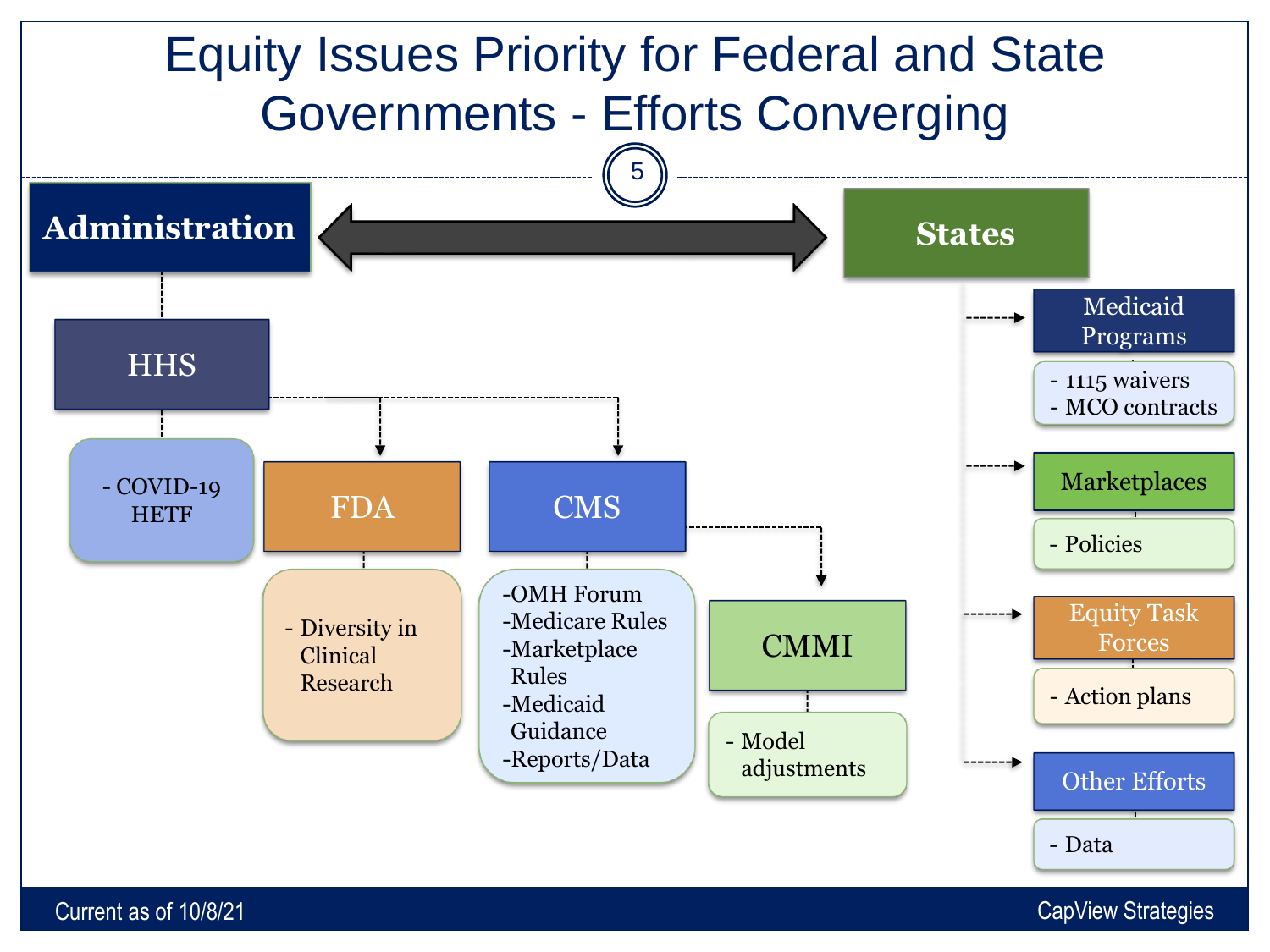

Current as of 10/8/21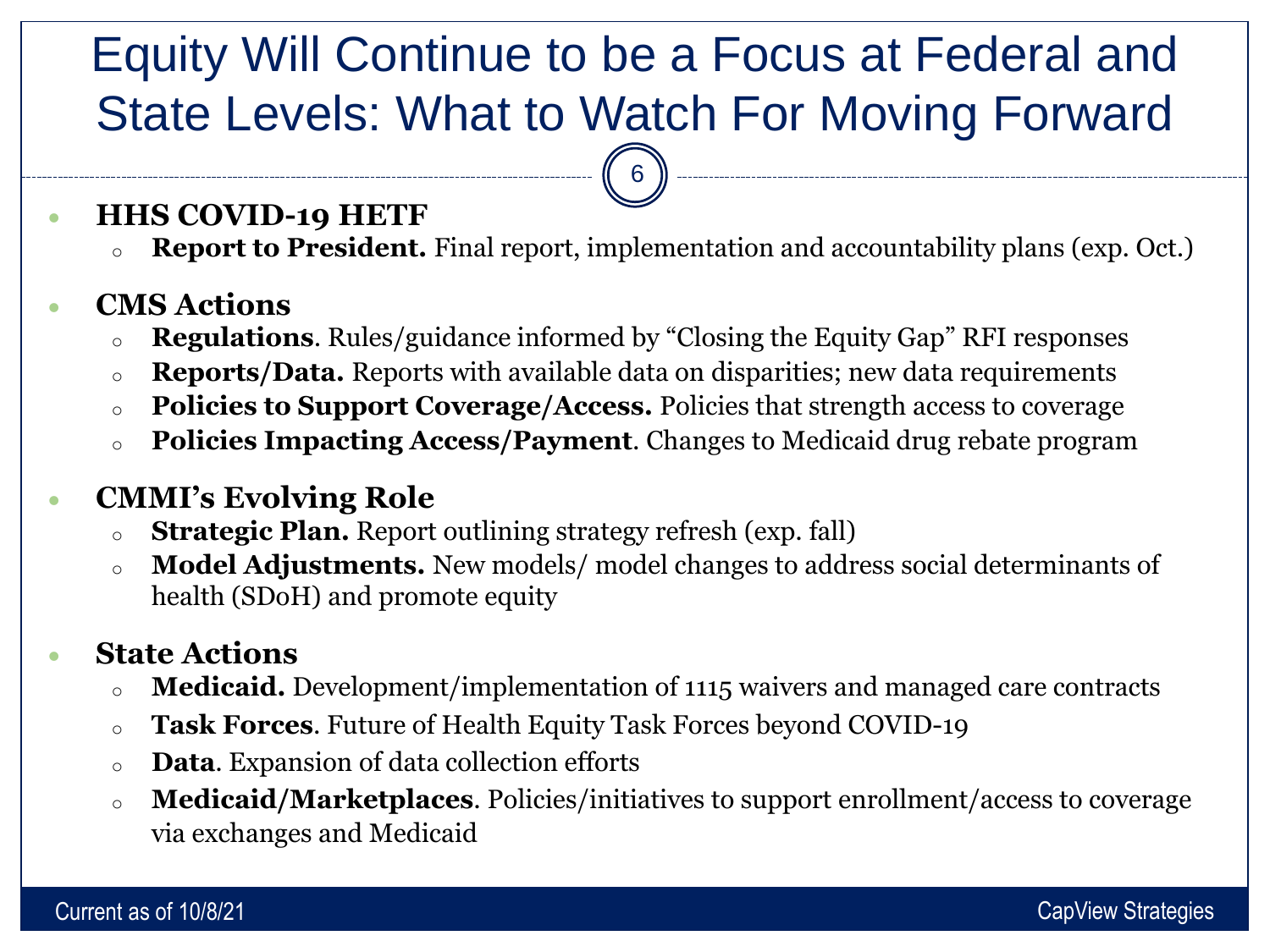# Equity Will Continue to be a Focus at Federal and State Levels: What to Watch For Moving Forward

6

#### • **HHS COVID-19 HETF**

**Report to President.** Final report, implementation and accountability plans (exp. Oct.)

#### • **CMS Actions**

- <sup>o</sup> **Regulations**. Rules/guidance informed by "Closing the Equity Gap" RFI responses
- <sup>o</sup> **Reports/Data.** Reports with available data on disparities; new data requirements
- <sup>o</sup> **Policies to Support Coverage/Access.** Policies that strength access to coverage
- <sup>o</sup> **Policies Impacting Access/Payment**. Changes to Medicaid drug rebate program

#### • **CMMI's Evolving Role**

- <sup>o</sup> **Strategic Plan.** Report outlining strategy refresh (exp. fall)
- <sup>o</sup> **Model Adjustments.** New models/ model changes to address social determinants of health (SDoH) and promote equity

#### • **State Actions**

- <sup>o</sup> **Medicaid.** Development/implementation of 1115 waivers and managed care contracts
- <sup>o</sup> **Task Forces**. Future of Health Equity Task Forces beyond COVID-19
- <sup>o</sup> **Data**. Expansion of data collection efforts
- <sup>o</sup> **Medicaid/Marketplaces**. Policies/initiatives to support enrollment/access to coverage via exchanges and Medicaid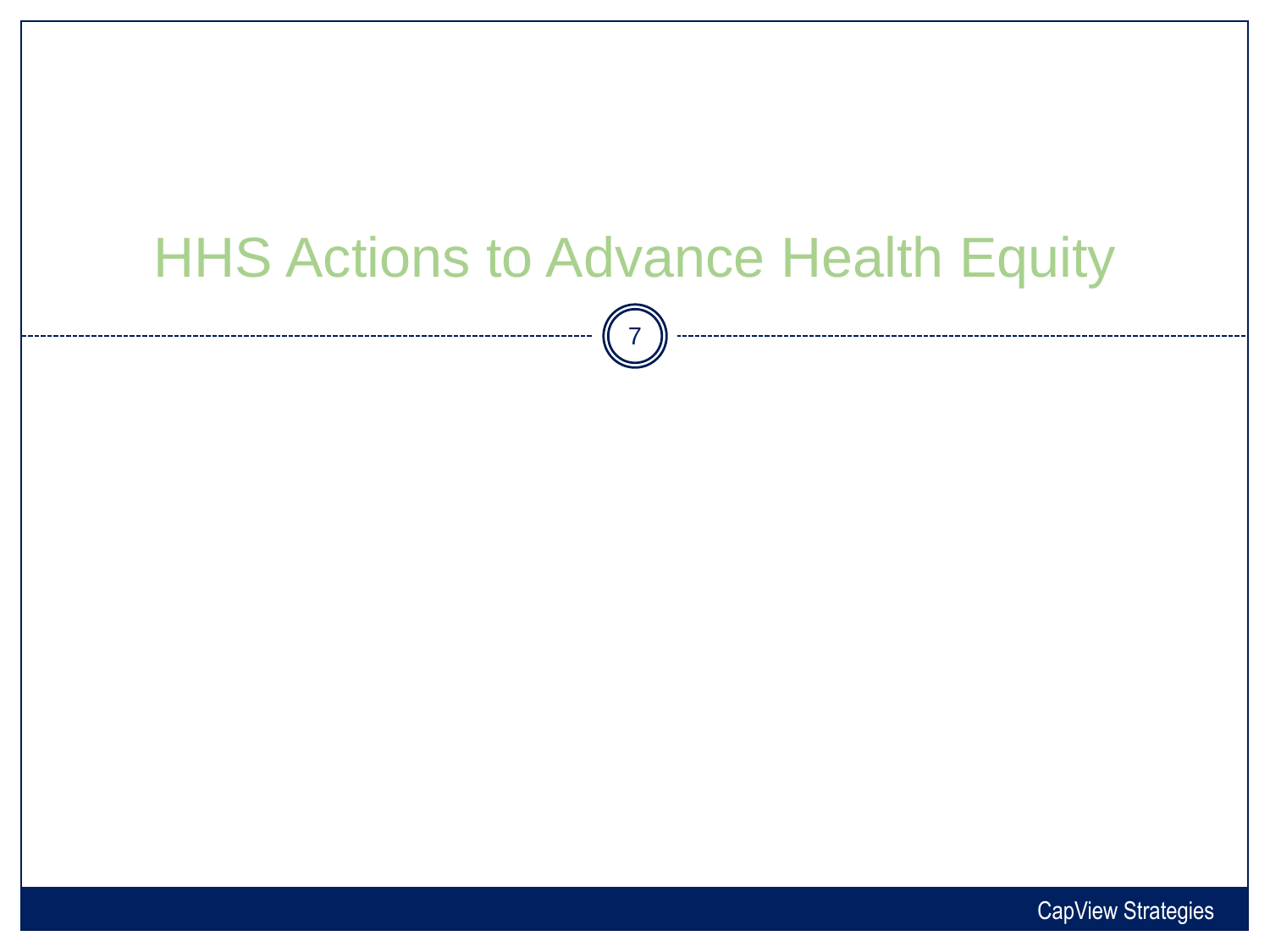# HHS Actions to Advance Health Equity

 $\begin{bmatrix} 7 \end{bmatrix}$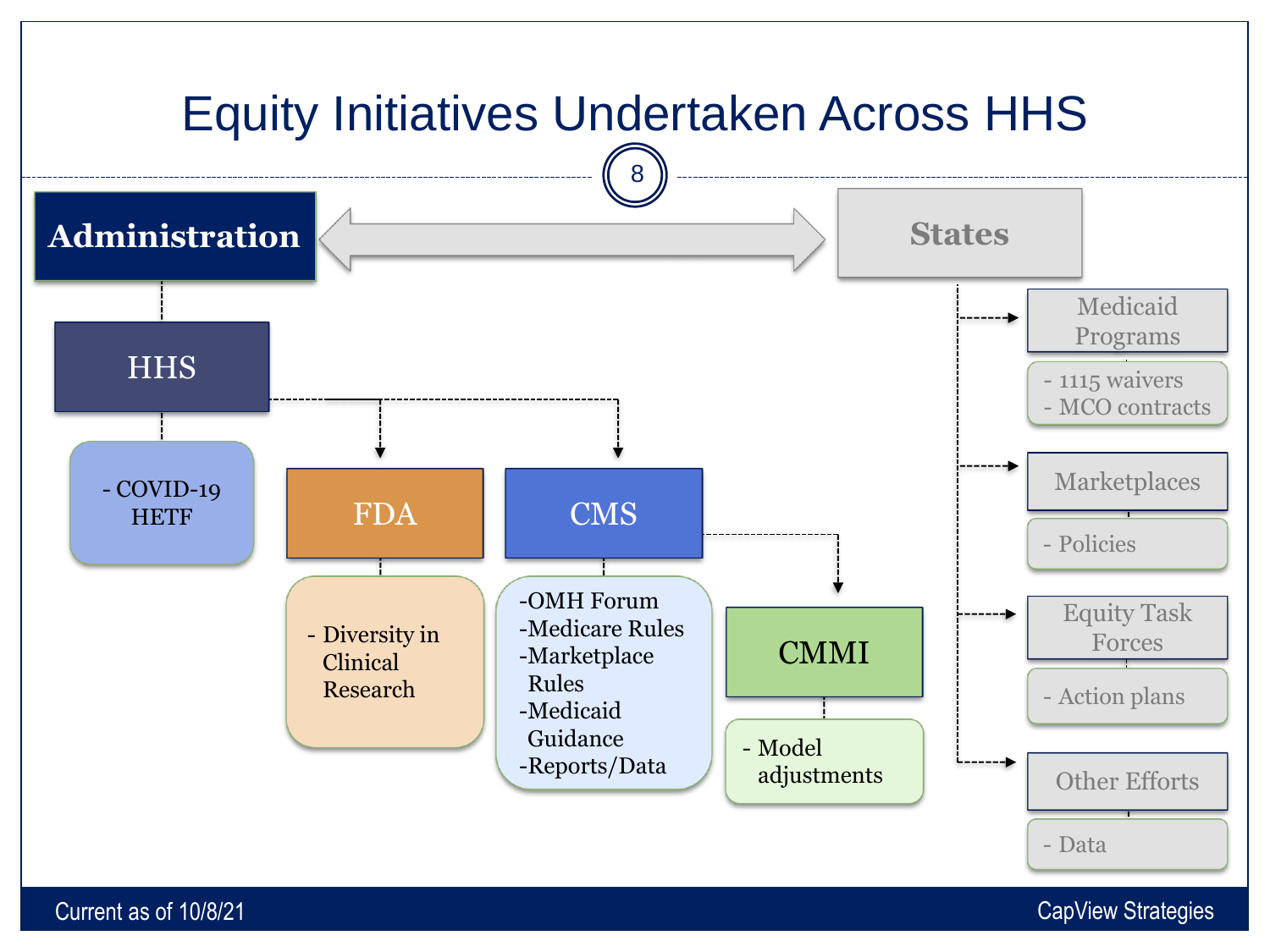

Current as of 10/8/21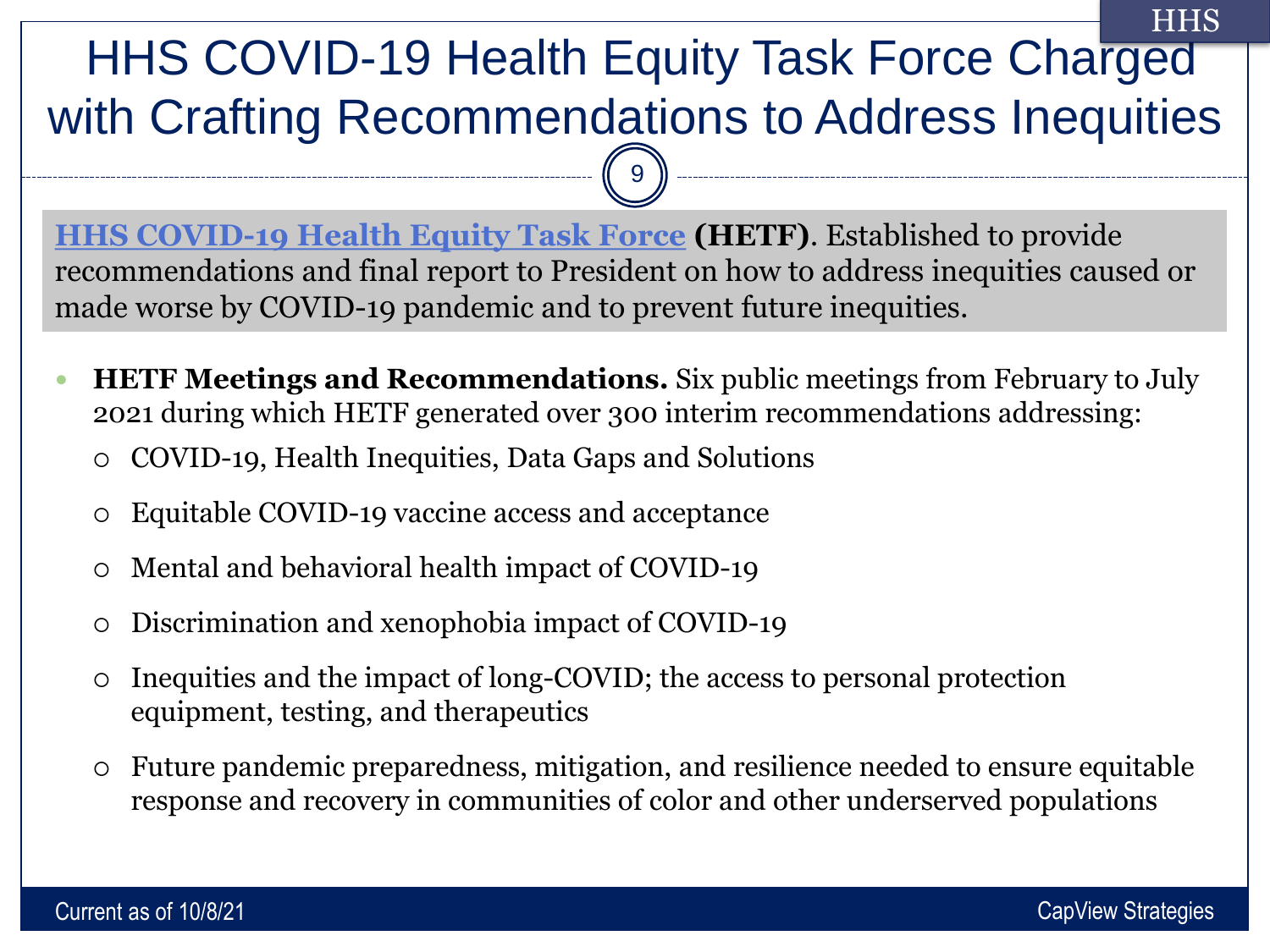#### HHS COVID-19 Health Equity Task Force Charged with Crafting Recommendations to Address Inequities **HHS**

**[HHS COVID-19 Health Equity Task Force](https://www.minorityhealth.hhs.gov/omh/browse.aspx?lvl=2&lvlid=100) (HETF)**. Established to provide recommendations and final report to President on how to address inequities caused or made worse by COVID-19 pandemic and to prevent future inequities.

 $\overline{9}$ 

- **HETF Meetings and Recommendations.** Six public meetings from February to July 2021 during which HETF generated over 300 interim recommendations addressing:
	- COVID-19, Health Inequities, Data Gaps and Solutions
	- Equitable COVID-19 vaccine access and acceptance
	- Mental and behavioral health impact of COVID-19
	- Discrimination and xenophobia impact of COVID-19
	- Inequities and the impact of long-COVID; the access to personal protection equipment, testing, and therapeutics
	- Future pandemic preparedness, mitigation, and resilience needed to ensure equitable response and recovery in communities of color and other underserved populations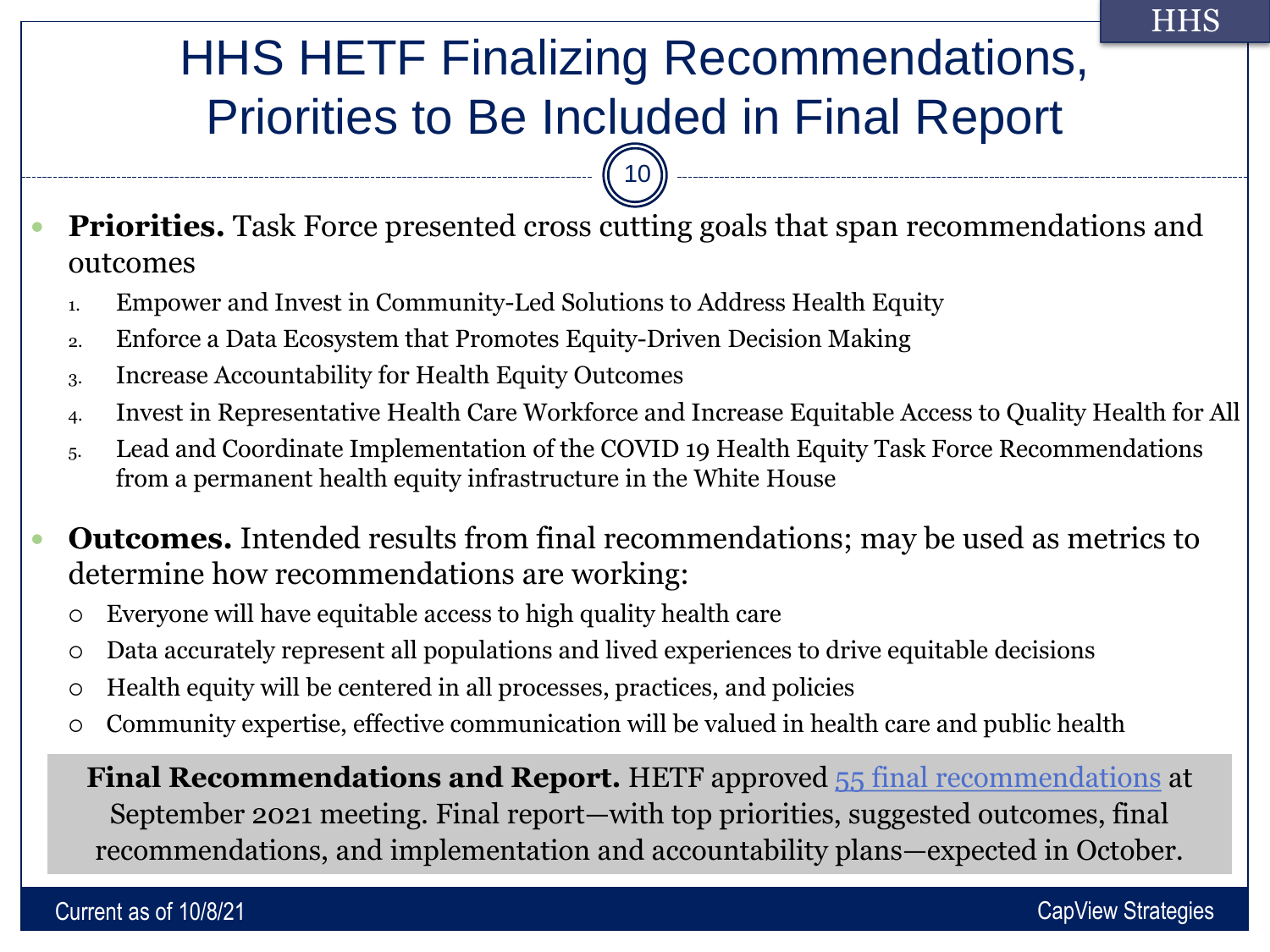# HHS HETF Finalizing Recommendations, Priorities to Be Included in Final Report

 $10$ 

- **Priorities.** Task Force presented cross cutting goals that span recommendations and outcomes
	- 1. Empower and Invest in Community-Led Solutions to Address Health Equity
	- 2. Enforce a Data Ecosystem that Promotes Equity-Driven Decision Making
	- 3. Increase Accountability for Health Equity Outcomes
	- 4. Invest in Representative Health Care Workforce and Increase Equitable Access to Quality Health for All
	- 5. Lead and Coordinate Implementation of the COVID 19 Health Equity Task Force Recommendations from a permanent health equity infrastructure in the White House
- **Outcomes.** Intended results from final recommendations; may be used as metrics to determine how recommendations are working:
	- Everyone will have equitable access to high quality health care
	- Data accurately represent all populations and lived experiences to drive equitable decisions
	- Health equity will be centered in all processes, practices, and policies
	- Community expertise, effective communication will be valued in health care and public health

**e and public health. Final Recommendations and Report.** HETF approved [55 final recommendations](https://www.minorityhealth.hhs.gov/Assets/PDF/COVID19HETF_Final%20Recommendations-093021_508_FINAL%203_.pdf) at September 2021 meeting. Final report—with top priorities, suggested outcomes, final recommendations, and implementation and accountability plans—expected in October.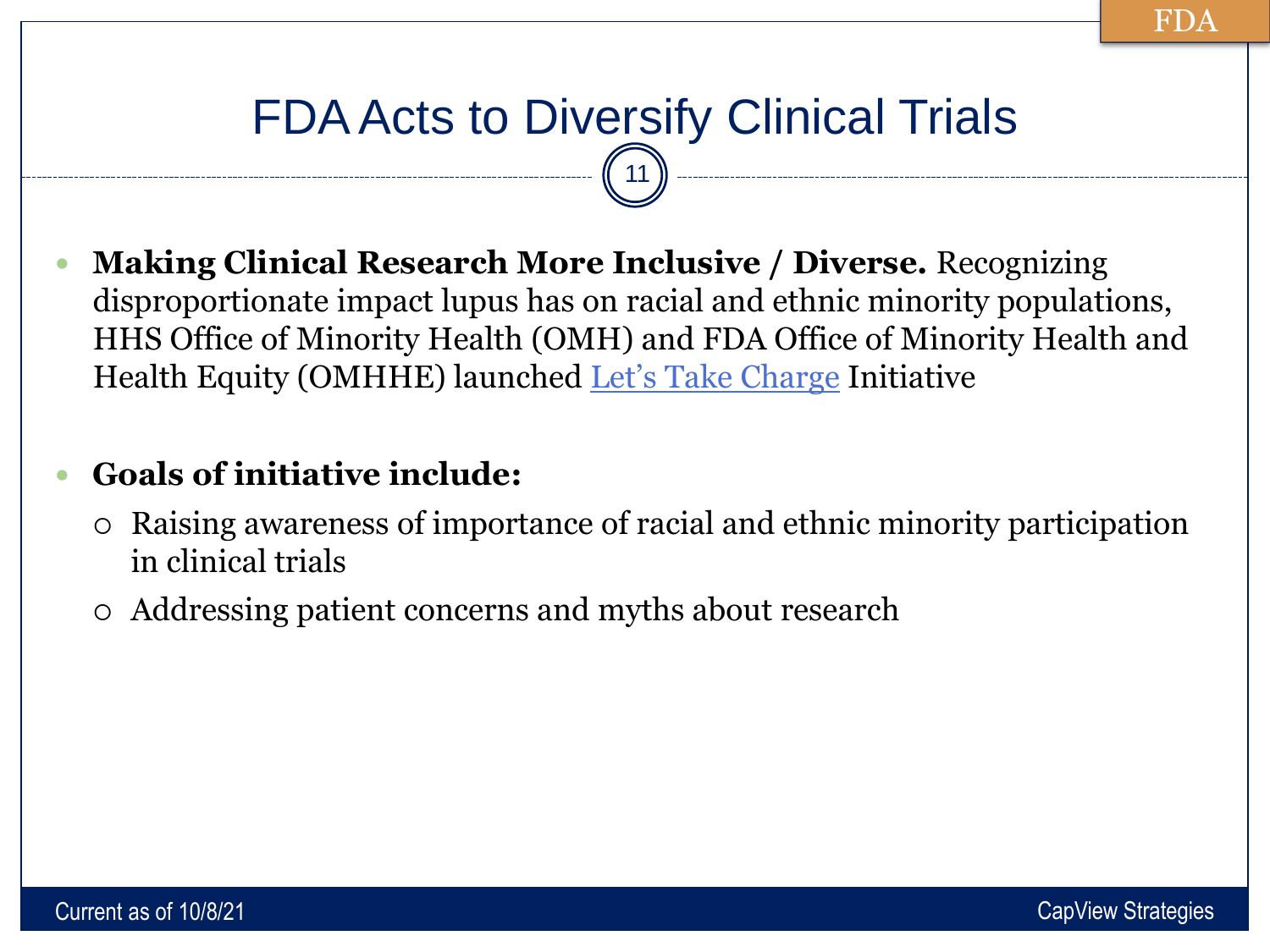## FDA Acts to Diversify Clinical Trials 11

 **Making Clinical Research More Inclusive / Diverse.** Recognizing disproportionate impact lupus has on racial and ethnic minority populations, HHS Office of Minority Health (OMH) and FDA Office of Minority Health and Health Equity (OMHHE) launched [Let's Take Charge](https://www.minorityhealth.hhs.gov/LetsTakeCharge/) Initiative

#### **Goals of initiative include:**

- Raising awareness of importance of racial and ethnic minority participation in clinical trials
- Addressing patient concerns and myths about research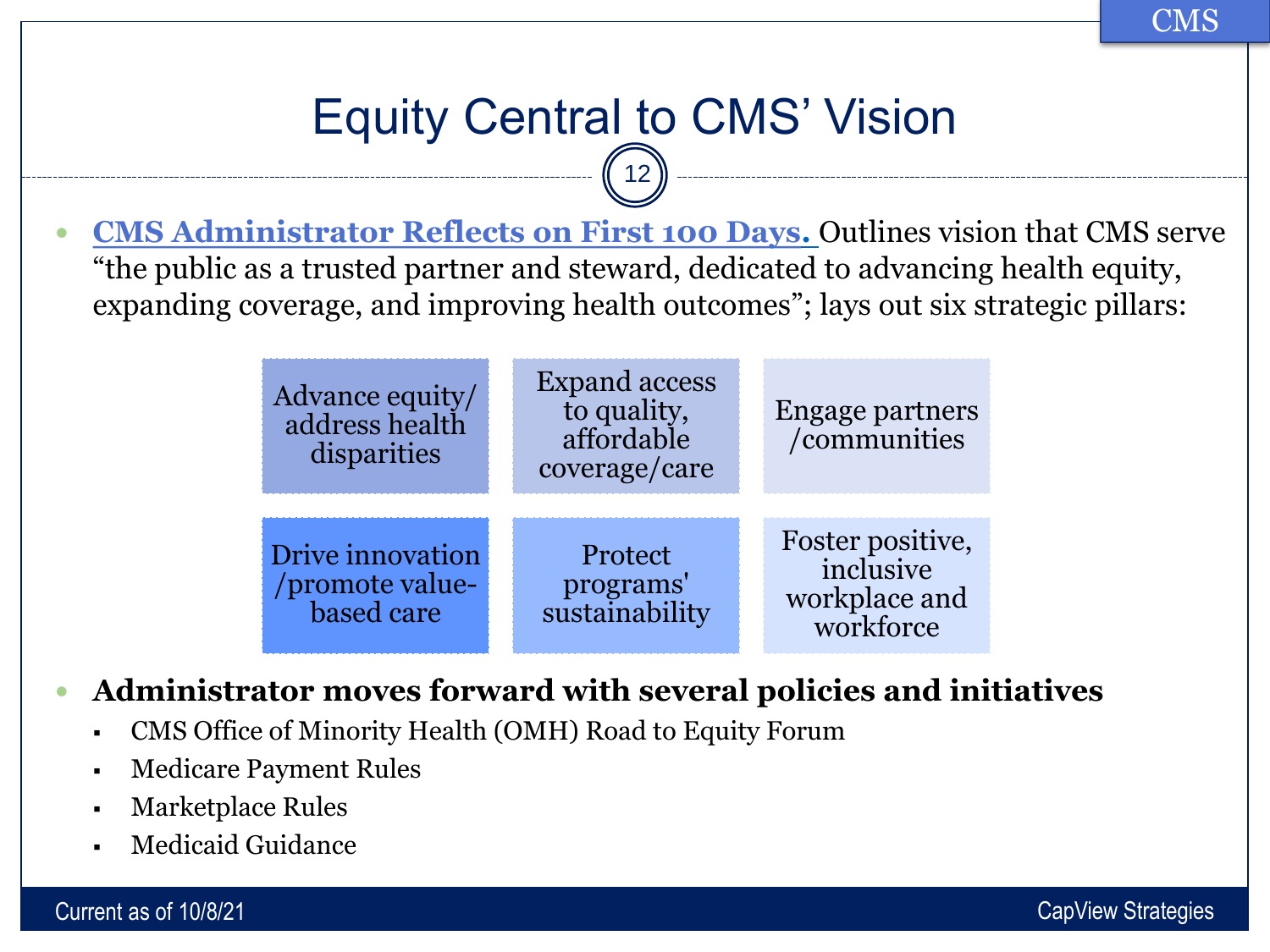CMS

# Equity Central to CMS' Vision

12

 **[CMS Administrator Reflects on First 100 Days](https://www.cms.gov/blog/my-first-100-days-and-where-we-go-here-strategic-vision-cms).** Outlines vision that CMS serve "the public as a trusted partner and steward, dedicated to advancing health equity, expanding coverage, and improving health outcomes"; lays out six strategic pillars:

| Advance equity/<br>address health<br>disparities  | <b>Expand access</b><br>to quality,<br>affordable<br>coverage/care | <b>Engage partners</b><br>/communities                      |
|---------------------------------------------------|--------------------------------------------------------------------|-------------------------------------------------------------|
| Drive innovation<br>/promote value-<br>based care | Protect<br>programs'<br>sustainability                             | Foster positive,<br>inclusive<br>workplace and<br>workforce |

#### **Administrator moves forward with several policies and initiatives**

- CMS Office of Minority Health (OMH) Road to Equity Forum
- Medicare Payment Rules
- **Marketplace Rules**
- Medicaid Guidance

Current as of 10/8/21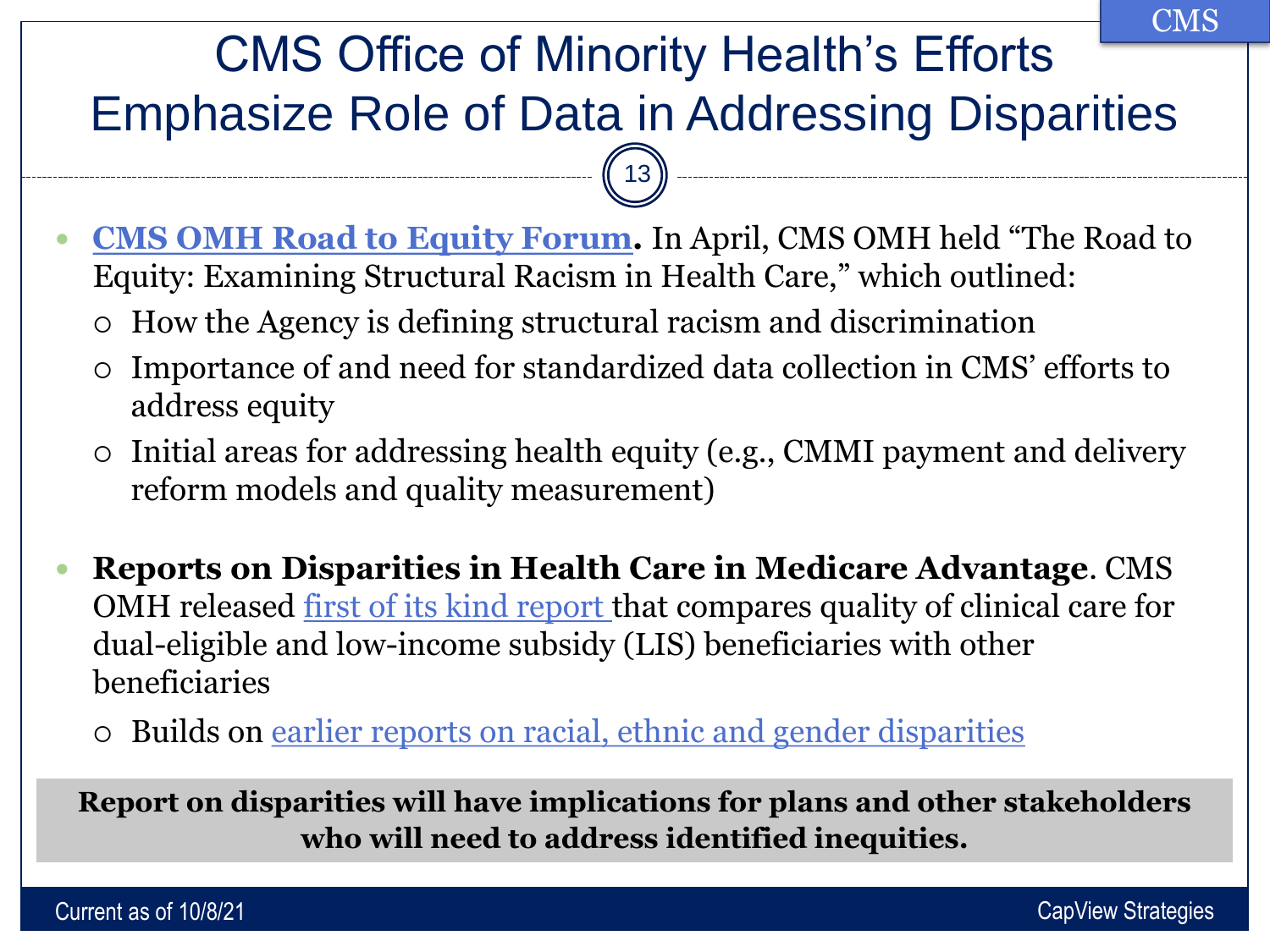#### CMS Office of Minority Health's Efforts Emphasize Role of Data in Addressing Disparities **CMS**

 **[CMS OMH Road to Equity Forum.](https://www.cms.gov/About-CMS/Agency-Information/OMH/equity-initiatives/ccm/webinars-and-events/all-webinars-and-events)** In April, CMS OMH held "The Road to Equity: Examining Structural Racism in Health Care," which outlined:

 $(13)$ 

- How the Agency is defining structural racism and discrimination
- Importance of and need for standardized data collection in CMS' efforts to address equity
- Initial areas for addressing health equity (e.g., CMMI payment and delivery reform models and quality measurement)
- **Reports on Disparities in Health Care in Medicare Advantage**. CMS OMH released [first of its kind report t](https://lnks.gd/l/eyJhbGciOiJIUzI1NiJ9.eyJidWxsZXRpbl9saW5rX2lkIjoxMDAsInVyaSI6ImJwMjpjbGljayIsImJ1bGxldGluX2lkIjoiMjAyMTA5MjguNDY1NzczMTEiLCJ1cmwiOiJodHRwczovL3d3dy5jbXMuZ292L2ZpbGVzL2RvY3VtZW50LzIwMjEtZGVsaXMtbmF0aW9uYWwtZGlzcGFyaXRpZXMtc3RyYXRpZmllZC1yZXBvcnQucGRmIn0.YkXwdqp4vN1vGoC99-sxFG9qDcbEXDhytnqvCti1uns/s/1052674691/br/113015332951-l)hat compares quality of clinical care for dual-eligible and low-income subsidy (LIS) beneficiaries with other beneficiaries
	- Builds on [earlier reports on racial, ethnic and gender disparities](https://www.cms.gov/About-CMS/Agency-Information/OMH/research-and-data/statistics-and-data/stratified-reporting)

**Report on disparities will have implications for plans and other stakeholders who will need to address identified inequities.** 

Current as of 10/8/21 CapView Strategies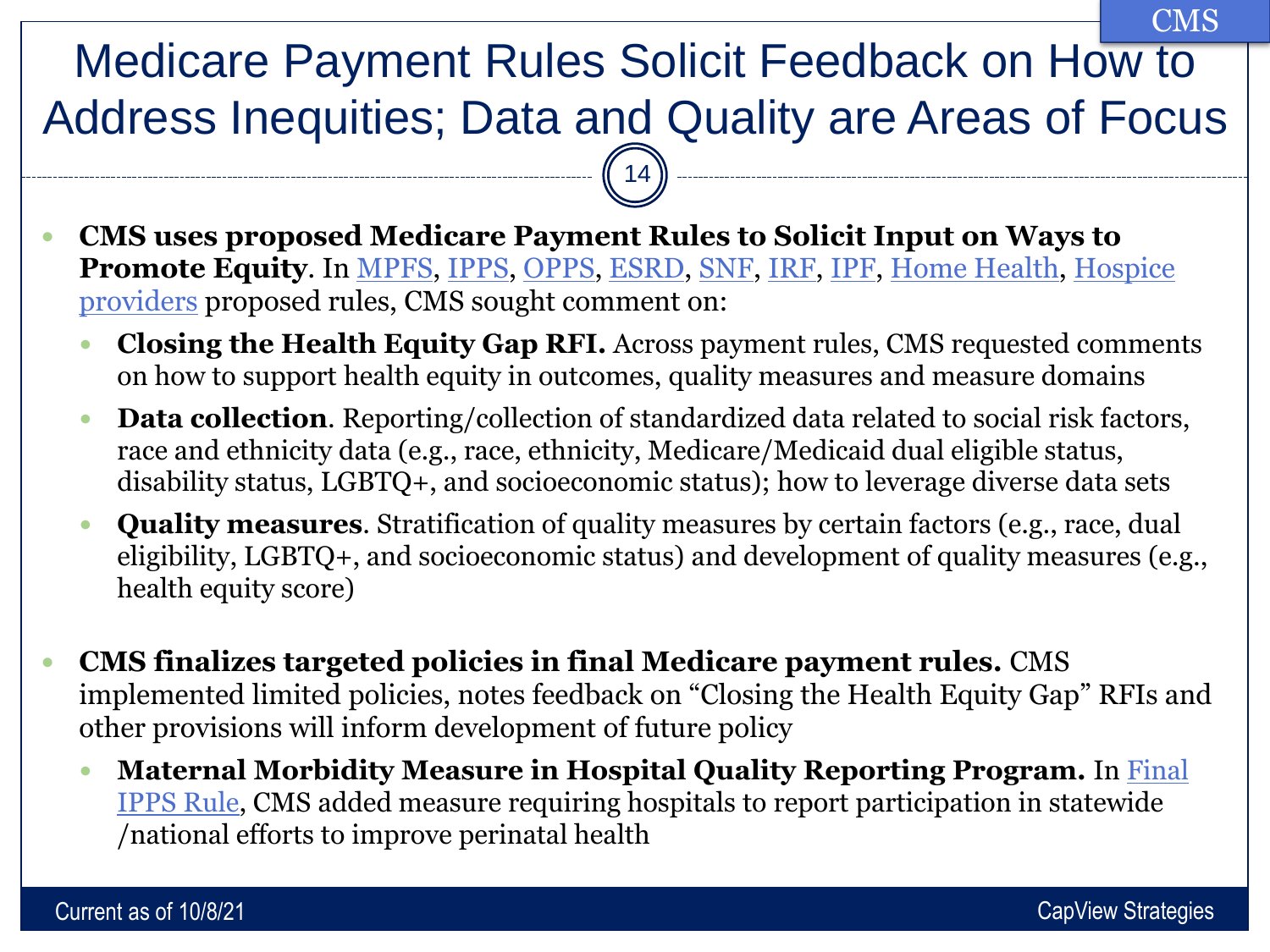Medicare Payment Rules Solicit Feedback on How to Address Inequities; Data and Quality are Areas of Focus  $\binom{14}{$ CMS

- **CMS uses proposed Medicare Payment Rules to Solicit Input on Ways to Promote Equity**[. In MPFS, IPPS, OPPS, ESRD, SNF, IRF, IPF, Home Health, Hospice](https://www.cms.gov/newsroom/fact-sheets/fiscal-year-fy-2022-hospice-payment-rate-update-final-rule-cms-1754-f) providers proposed rules, CMS sought comment on:
	- **Closing the Health Equity Gap RFI.** Across payment rules, CMS requested comments on how to support health equity in outcomes, quality measures and measure domains
	- **Data collection**. Reporting/collection of standardized data related to social risk factors, race and ethnicity data (e.g., race, ethnicity, Medicare/Medicaid dual eligible status, disability status, LGBTQ+, and socioeconomic status); how to leverage diverse data sets
	- **Quality measures**. Stratification of quality measures by certain factors (e.g., race, dual eligibility, LGBTQ+, and socioeconomic status) and development of quality measures (e.g., health equity score)
- **CMS finalizes targeted policies in final Medicare payment rules.** CMS implemented limited policies, notes feedback on "Closing the Health Equity Gap" RFIs and other provisions will inform development of future policy
	- **Maternal Morbidity Measure in Hospital Quality Reporting Program.** In Final [IPPS Rule, CMS added measure requiring hospitals to report participation in statewide](https://www.cms.gov/newsroom/press-releases/cms-final-rule-improves-health-equity-access-treatment-hospital-readiness-and-covid-19-vaccination)  /national efforts to improve perinatal health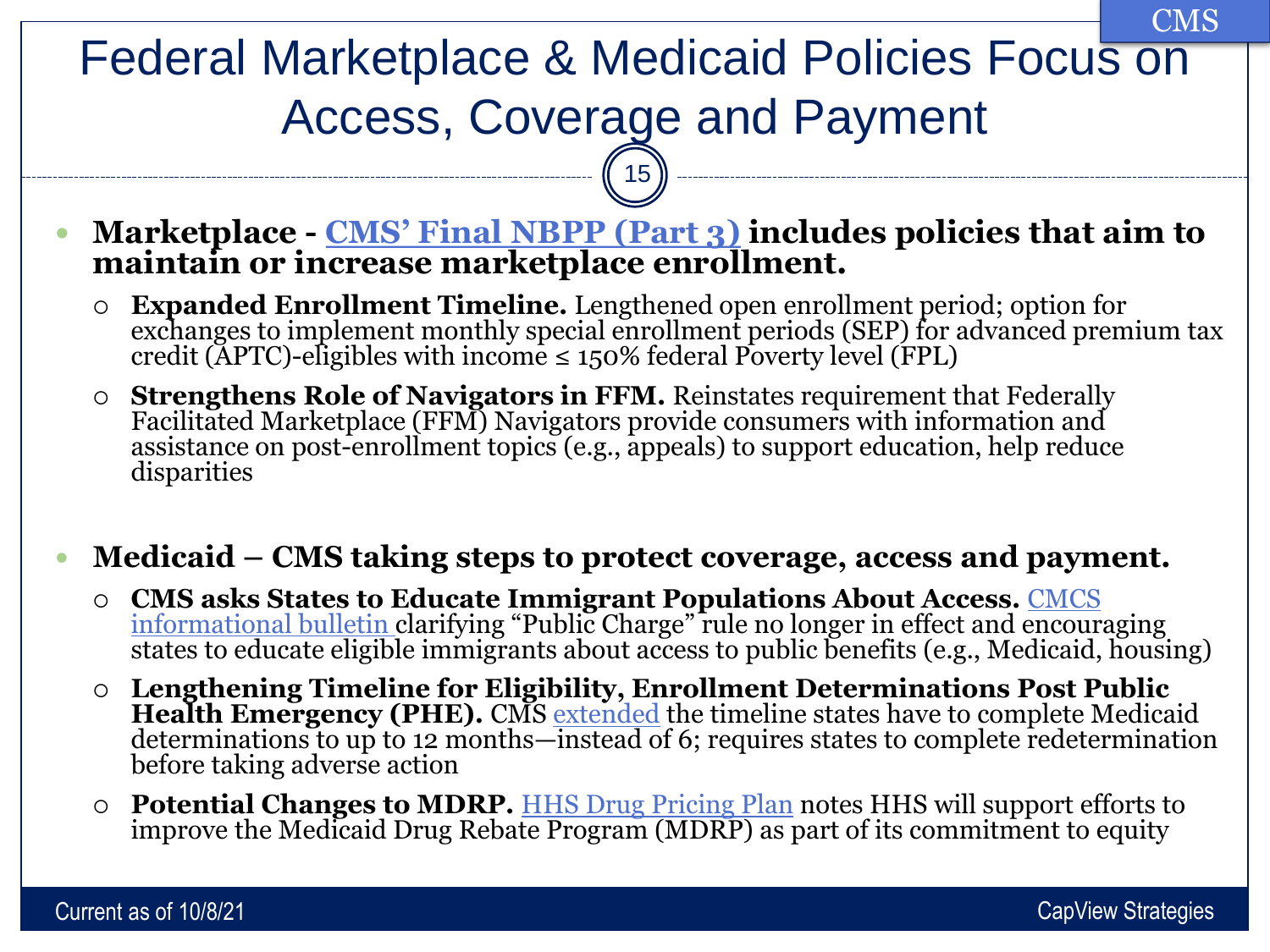### Federal Marketplace & Medicaid Policies Focus on Access, Coverage and Payment CMS

15

- **Marketplace - [CMS' Final NBPP \(Part 3\)](https://www.cms.gov/newsroom/fact-sheets/patient-protection-and-affordable-care-act-updating-payment-parameters-section-1332-waiver) includes policies that aim to maintain or increase marketplace enrollment.** 
	- **Expanded Enrollment Timeline.** Lengthened open enrollment period; option for exchanges to implement monthly special enrollment periods (SEP) for advanced premium tax credit ( $\text{APTC}$ )-eligibles with income  $\leq 150\%$  federal Poverty level (FPL)
	- **Strengthens Role of Navigators in FFM.** Reinstates requirement that Federally Facilitated Marketplace (FFM) Navigators provide consumers with information and assistance on post-enrollment topics (e.g., appeals) to support education, help reduce disparities

#### **Medicaid – CMS taking steps to protect coverage, access and payment.**

- **[CMS asks States to Educate Immigrant Populations About Access.](https://www.medicaid.gov/federal-policy-guidance/downloads/cib072221.pdf)** CMCS informational bulletin clarifying "Public Charge" rule no longer in effect and encouraging states to educate eligible immigrants about access to public benefits (e.g., Medicaid, housing)
- **Lengthening Timeline for Eligibility, Enrollment Determinations Post Public**  Health Emergency (PHE). CMS [extended](https://www.medicaid.gov/federal-policy-guidance/downloads/sho-21-002.pdf) the timeline states have to complete Medicaid determinations to up to 12 months—instead of 6; requires states to complete redetermination before taking adverse action
- **Potential Changes to MDRP.** [HHS Drug Pricing Plan](https://aspe.hhs.gov/sites/default/files/2021-09/Drug_Pricing_Plan_9-9-2021.pdf) notes HHS will support efforts to improve the Medicaid Drug Rebate Program (MDRP) as part of its commitment to equity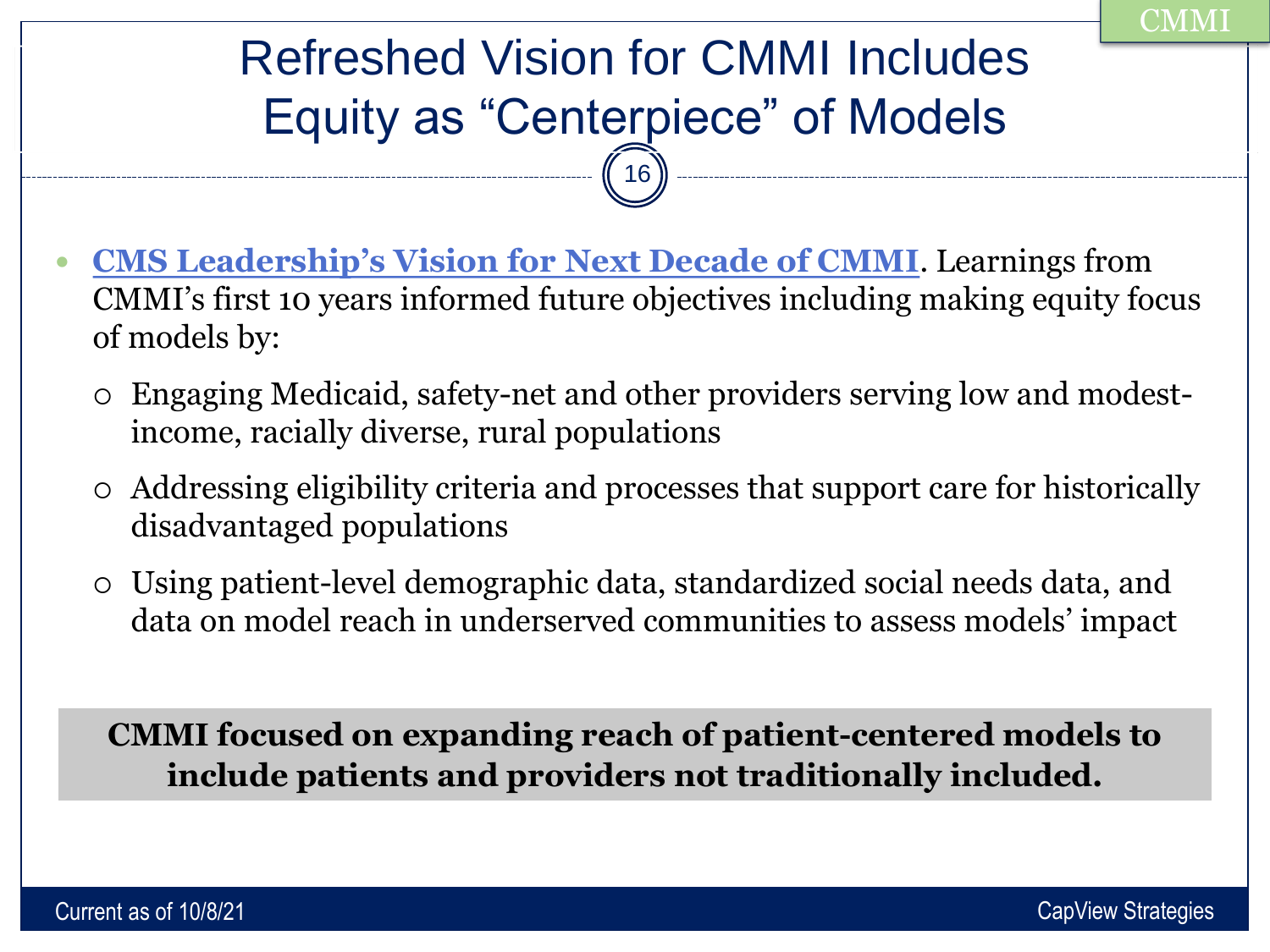# Refreshed Vision for CMMI Includes Equity as "Centerpiece" of Models

 $16)$ 

- **[CMS Leadership's Vision for Next Decade of CMMI](https://www.healthaffairs.org/do/10.1377/hblog20210812.211558/full/)**. Learnings from CMMI's first 10 years informed future objectives including making equity focus of models by:
	- Engaging Medicaid, safety-net and other providers serving low and modestincome, racially diverse, rural populations
	- Addressing eligibility criteria and processes that support care for historically disadvantaged populations
	- Using patient-level demographic data, standardized social needs data, and data on model reach in underserved communities to assess models' impact

**CMMI focused on expanding reach of patient-centered models to include patients and providers not traditionally included.**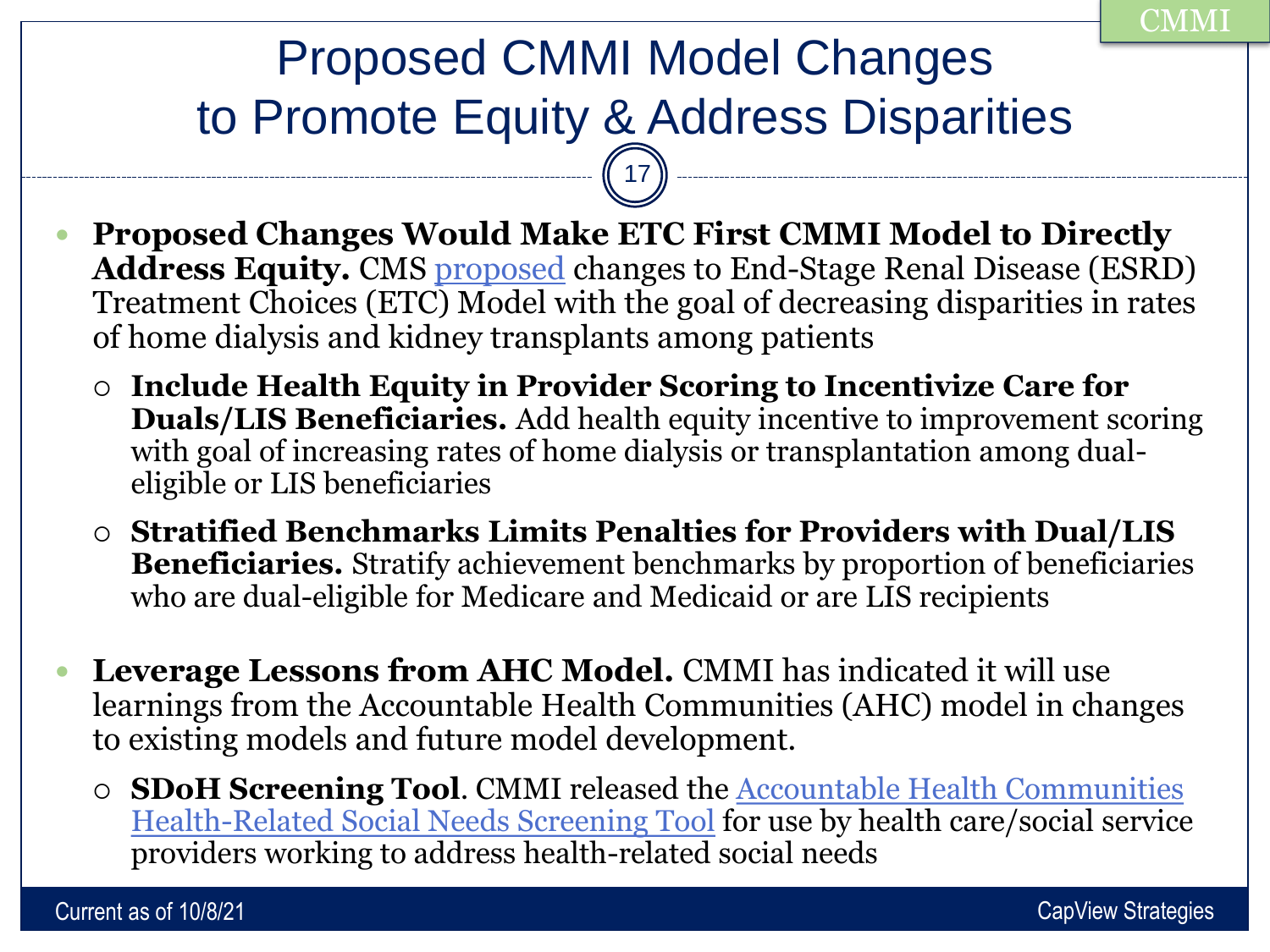# Proposed CMMI Model Changes to Promote Equity & Address Disparities 17

- **Proposed Changes Would Make ETC First CMMI Model to Directly**  Address Equity. CMS [proposed](https://www.cms.gov/newsroom/fact-sheets/end-stage-renal-disease-esrd-prospective-payment-system-pps-calendar-year-cy-2022-proposed-rule-cms) changes to End-Stage Renal Disease (ESRD) Treatment Choices (ETC) Model with the goal of decreasing disparities in rates of home dialysis and kidney transplants among patients
	- **Include Health Equity in Provider Scoring to Incentivize Care for Duals/LIS Beneficiaries.** Add health equity incentive to improvement scoring with goal of increasing rates of home dialysis or transplantation among dualeligible or LIS beneficiaries
	- **Stratified Benchmarks Limits Penalties for Providers with Dual/LIS Beneficiaries.** Stratify achievement benchmarks by proportion of beneficiaries who are dual-eligible for Medicare and Medicaid or are LIS recipients
- **Leverage Lessons from AHC Model.** CMMI has indicated it will use learnings from the Accountable Health Communities (AHC) model in changes to existing models and future model development.
	- **SDoH Screening Tool**[. CMMI released the Accountable Health Communities](https://innovation.cms.gov/files/worksheets/ahcm-screeningtool.pdf) Health-Related Social Needs Screening Tool for use by health care/social service providers working to address health-related social needs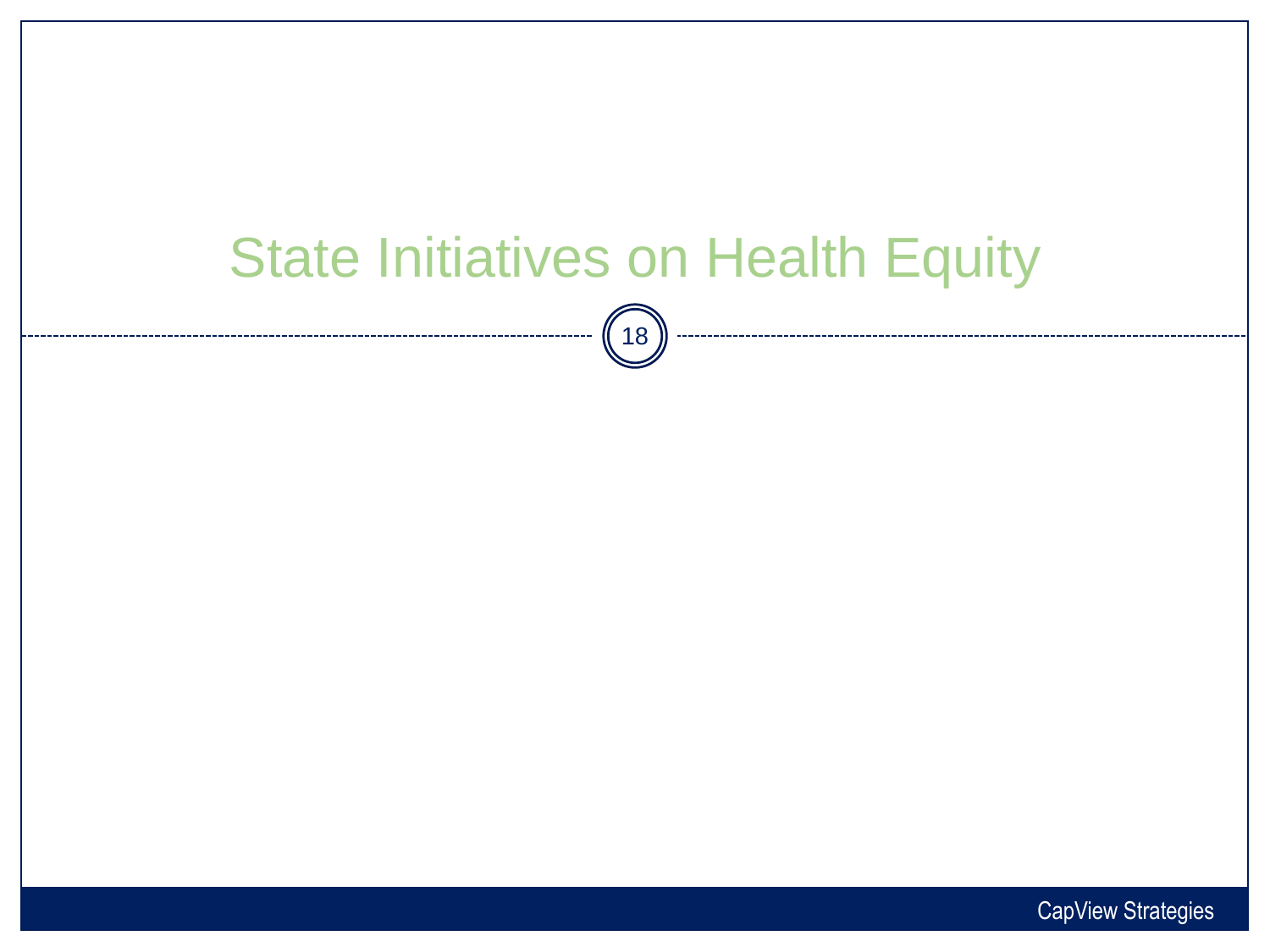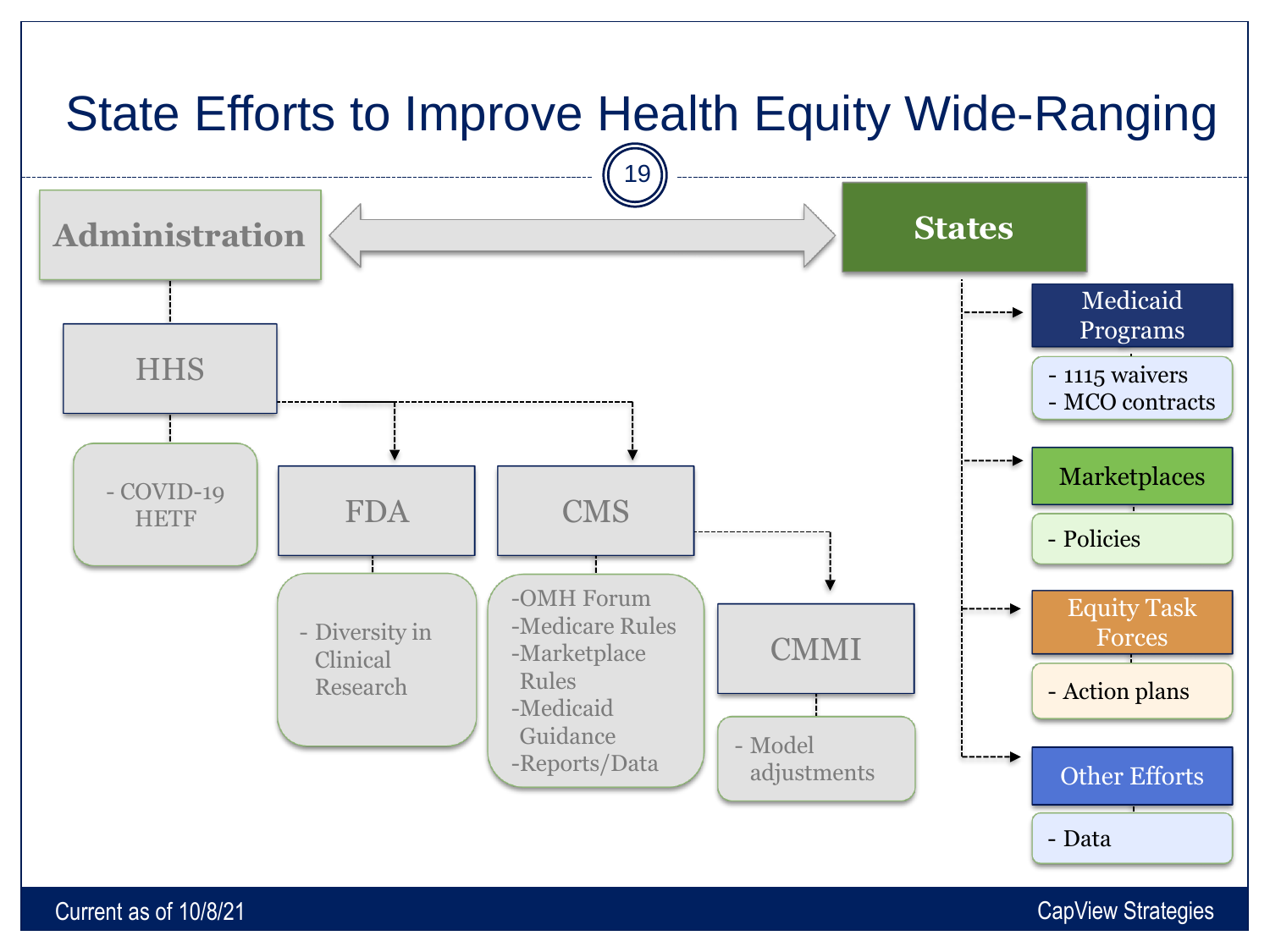

#### Current as of 10/8/21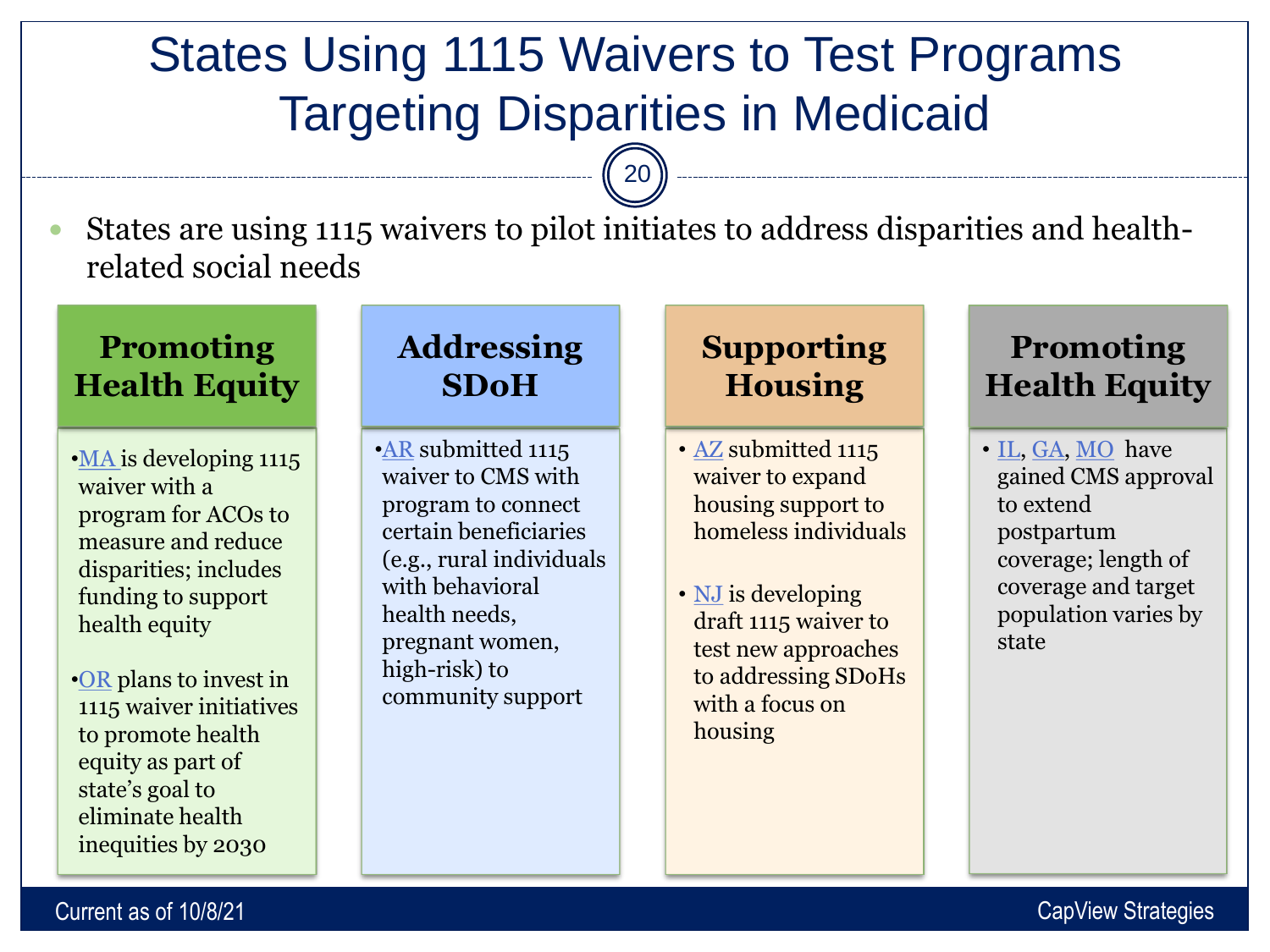# States Using 1115 Waivers to Test Programs Targeting Disparities in Medicaid

20

 States are using 1115 waivers to pilot initiates to address disparities and healthrelated social needs

#### **Promoting Health Equity**

- •[MA i](https://www.mass.gov/doc/ma-1115-extension-factsheet-july-2021-pdf/download)s developing 1115 waiver with a program for ACOs to measure and reduce disparities; includes funding to support health equity
- •[OR](https://www.oregon.gov/oha/hsd/medicaid-policy/pages/waiver-renewal.aspx?utm_source=OHA&utm_medium=egov_redirect&utm_campaign=https%3A%2F%2Fwww.oregon.gov%2F1115waiverrenewal) plans to invest in 1115 waiver initiatives to promote health equity as part of state's goal to eliminate health inequities by 2030

#### **Addressing SDoH**

•**[AR](https://www.medicaid.gov/medicaid/section-1115-demonstrations/downloads/ar-arhome-pa.pdf)** submitted 1115 waiver to CMS with program to connect certain beneficiaries (e.g., rural individuals with behavioral health needs, pregnant women, high-risk) to community support

#### **Supporting Housing**

- [AZ](https://www.medicaid.gov/medicaid/section-1115-demonstrations/downloads/az-hccc-pa9.pdf) submitted 1115 waiver to expand housing support to homeless individuals
- **[NJ](https://www.state.nj.us/humanservices/dmahs/home/1115_NJFamilyCare_Comprehensive_Demonstration_Draft_Proposal.pdf)** is developing draft 1115 waiver to test new approaches to addressing SDoHs with a focus on housing

#### **Promoting Health Equity**

• [IL](https://www.medicaid.gov/medicaid/section-1115-demonstrations/downloads/il-continuity-care-admin-simplification-state-accept-ltr-05182021.pdf), [GA,](https://www.medicaid.gov/medicaid/section-1115-demonstrations/downloads/ga-postpartum-ext-ca.pdf) [MO](https://www.medicaid.gov/medicaid/section-1115-demonstrations/downloads/mo-targeted-benefits-for-postpartum-women.pdf) have gained CMS approval to extend postpartum coverage; length of coverage and target population varies by state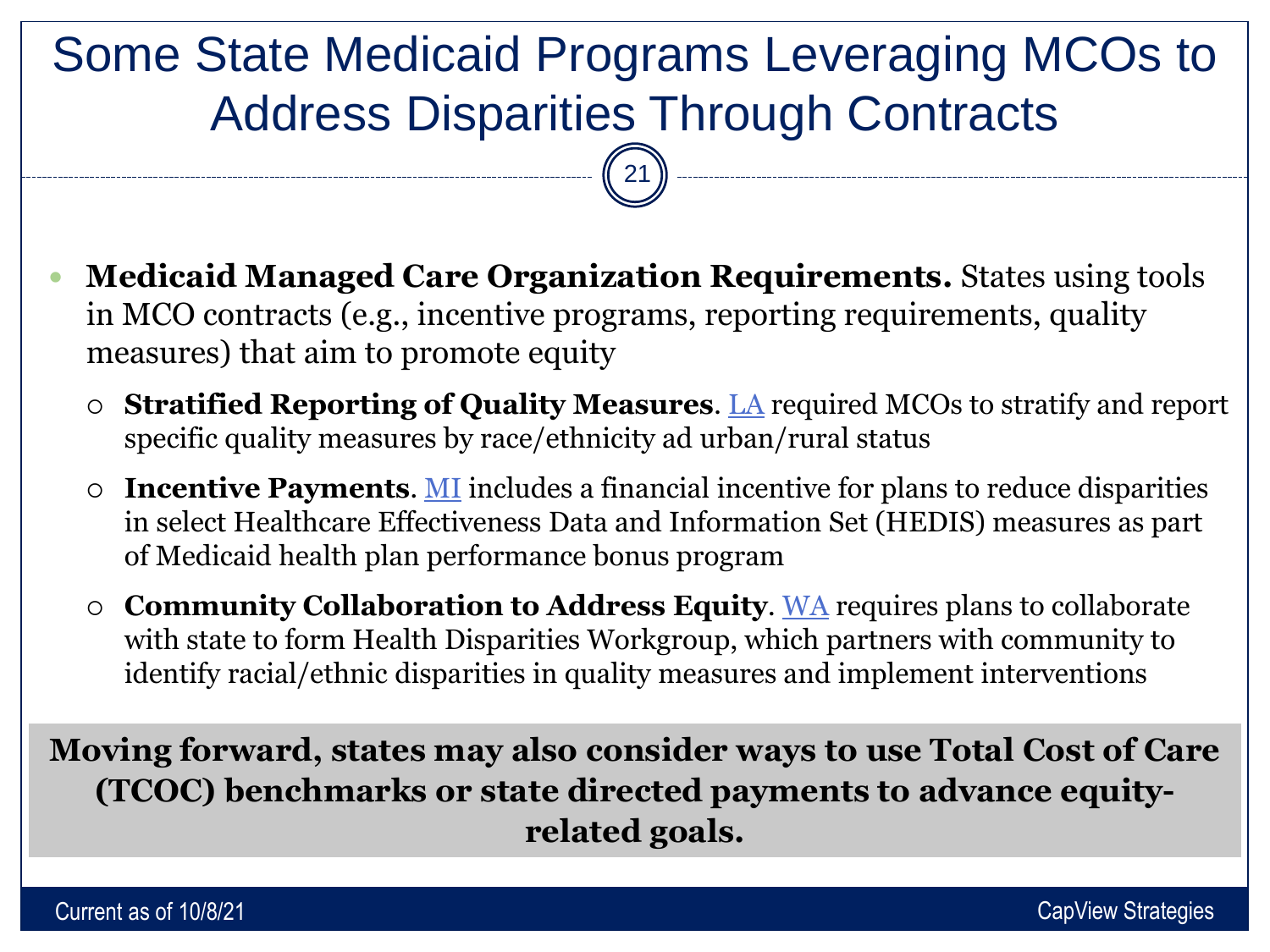# Some State Medicaid Programs Leveraging MCOs to Address Disparities Through Contracts

21

- **Medicaid Managed Care Organization Requirements.** States using tools in MCO contracts (e.g., incentive programs, reporting requirements, quality measures) that aim to promote equity
	- **Stratified Reporting of Quality Measures**. [LA](https://wwwcfprd.doa.louisiana.gov/osp/lapac/dspBid.cfm?search=department&term=4) required MCOs to stratify and report specific quality measures by race/ethnicity ad urban/rural status
	- **Incentive Payments**. [MI](https://www.michigan.gov/documents/contract_7696_7.pdf) includes a financial incentive for plans to reduce disparities in select Healthcare Effectiveness Data and Information Set (HEDIS) measures as part of Medicaid health plan performance bonus program
	- **Community Collaboration to Address Equity**. [WA](https://www.hca.wa.gov/billers-providers-partners/programs-and-services/model-managed-care-contracts) requires plans to collaborate with state to form Health Disparities Workgroup, which partners with community to identify racial/ethnic disparities in quality measures and implement interventions

**Moving forward, states may also consider ways to use Total Cost of Care (TCOC) benchmarks or state directed payments to advance equityrelated goals.**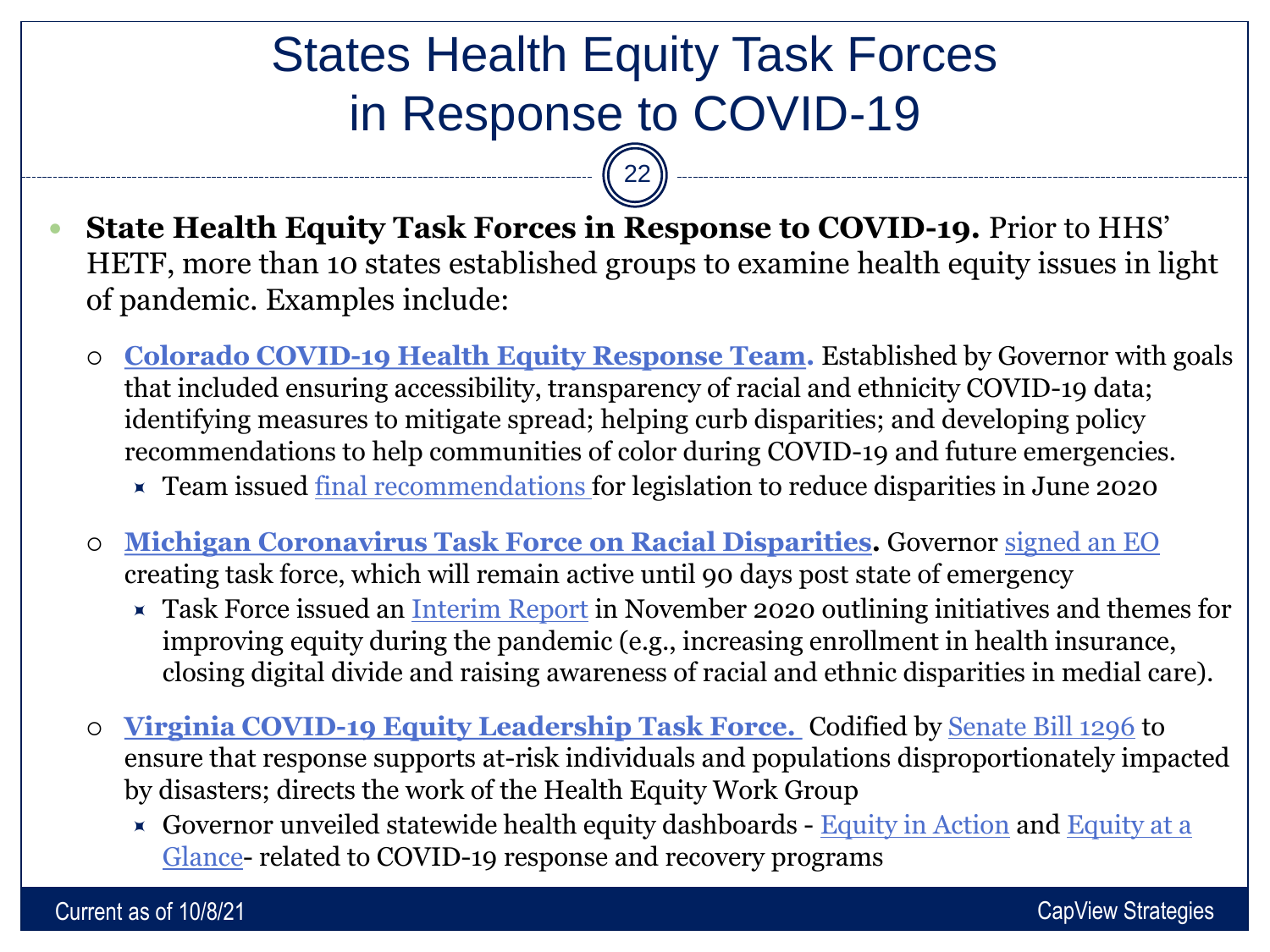# States Health Equity Task Forces in Response to COVID-19

 $22$ 

- **State Health Equity Task Forces in Response to COVID-19.** Prior to HHS' HETF, more than 10 states established groups to examine health equity issues in light of pandemic. Examples include:
	- **[Colorado COVID-19 Health Equity Response Team](https://covid19.colorado.gov/health-equity-response-team).** Established by Governor with goals that included ensuring accessibility, transparency of racial and ethnicity COVID-19 data; identifying measures to mitigate spread; helping curb disparities; and developing policy recommendations to help communities of color during COVID-19 and future emergencies.
		- **Example 15 x** Team issued [final recommendations f](https://drive.google.com/file/d/1rfe9CJcoNhDlCM7KpLHhUlA813KKwna4/view)or legislation to reduce disparities in June 2020
	- **[Michigan Coronavirus Task Force on Racial Disparities](https://www.michigan.gov/mdhhs/0,5885,7-339-71551_5460_99929---,00.html).** Governor [signed an EO](https://www.michigan.gov/whitmer/0,9309,7-387-90499_90705-526476--,00.html)  creating task force, which will remain active until 90 days post state of emergency
		- **x** Task Force issued an [Interim Report](https://www.michigan.gov/documents/coronavirus/Interim_Report_Final_719168_7.pdf) in November 2020 outlining initiatives and themes for improving equity during the pandemic (e.g., increasing enrollment in health insurance, closing digital divide and raising awareness of racial and ethnic disparities in medial care).
	- **[Virginia COVID-19 Equity Leadership Task Force.](https://www.governor.virginia.gov/diversity/equity-leadership-taskforce/)** Codified by [Senate Bill 1296](https://lis.virginia.gov/cgi-bin/legp604.exe?212+sum+SB1296) to ensure that response supports at-risk individuals and populations disproportionately impacted by disasters; directs the work of the Health Equity Work Group
		- $\star$  [Governor unveiled statewide health equity dashboards -](https://www.vdh.virginia.gov/equity-at-a-glance/) [Equity in Action](https://www.governor.virginia.gov/diversity/equity-dashboards/overview/) and Equity at a Glance- related to COVID-19 response and recovery programs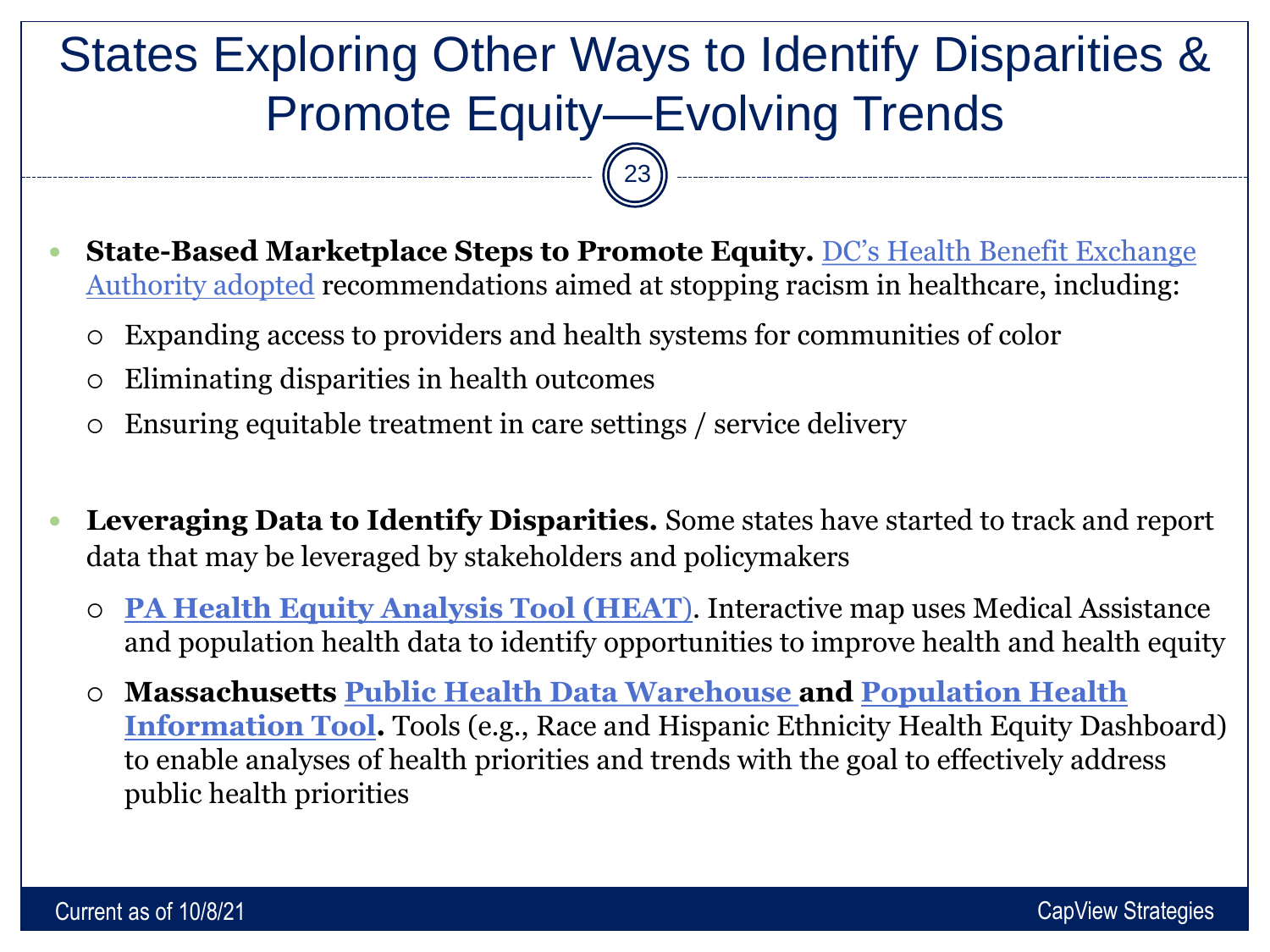# States Exploring Other Ways to Identify Disparities & Promote Equity—Evolving Trends

 $\begin{bmatrix} 23 \end{bmatrix}$ 

- **State-Based Marketplace Steps to Promote Equity.** DC's Health Benefit Exchange Authority adopted [recommendations aimed at stopping racism in healthcare, including:](https://dchealthlink.com/node/3569) 
	- Expanding access to providers and health systems for communities of color
	- Eliminating disparities in health outcomes

- Ensuring equitable treatment in care settings / service delivery
- **Leveraging Data to Identify Disparities.** Some states have started to track and report data that may be leveraged by stakeholders and policymakers
	- **[PA Health Equity Analysis Tool \(HEAT](https://www.media.pa.gov/pages/dhs_details.aspx?newsid=740)**). Interactive map uses Medical Assistance and population health data to identify opportunities to improve health and health equity
	- **[Massachusetts Public Health Data Warehouse and Population Health](https://www.mass.gov/orgs/population-health-information-tool?id=31df85b470ad49809445a2d83e80d269) Information Tool.** Tools (e.g., Race and Hispanic Ethnicity Health Equity Dashboard) to enable analyses of health priorities and trends with the goal to effectively address public health priorities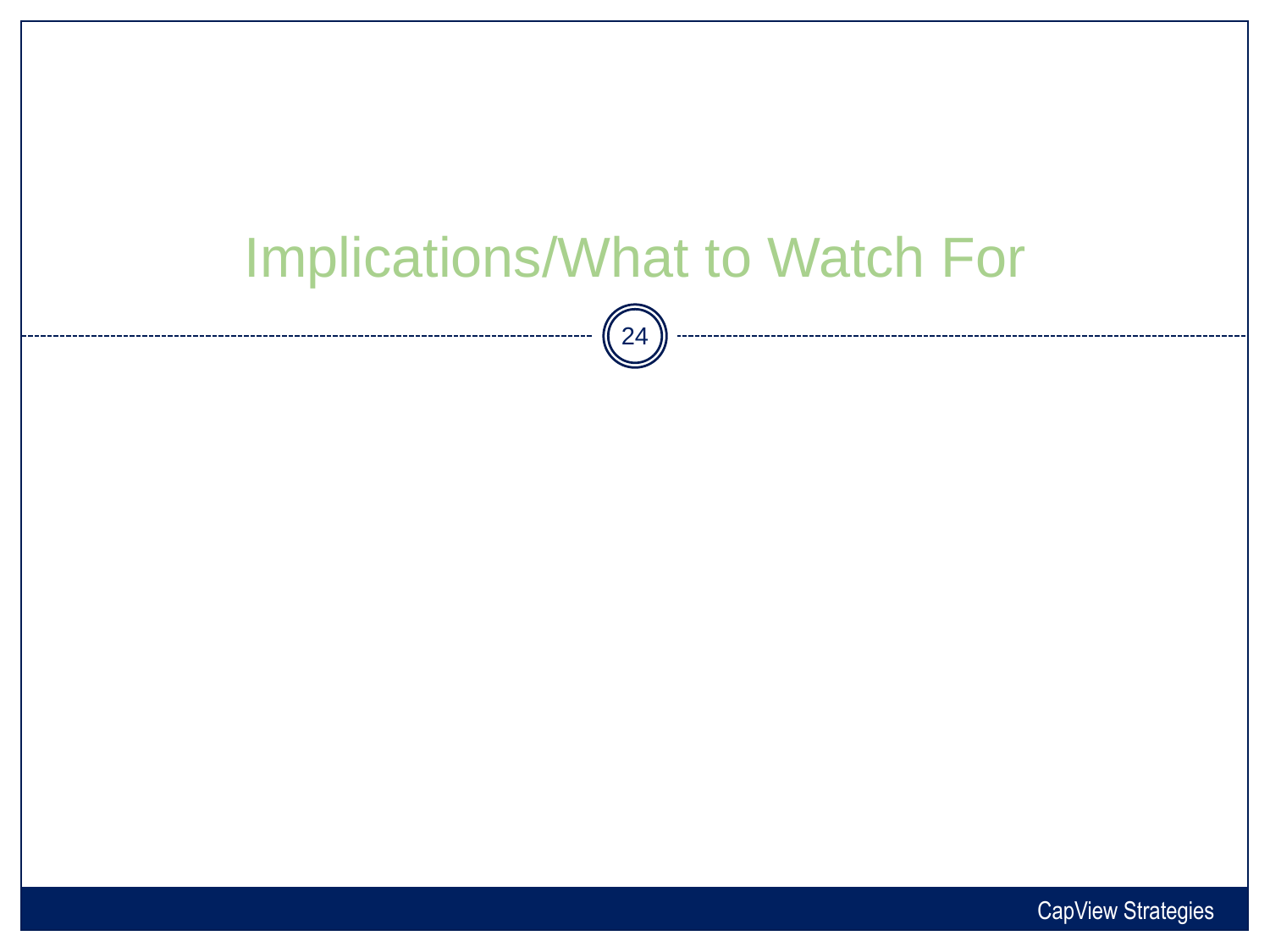# Implications/What to Watch For  $\binom{24}{}$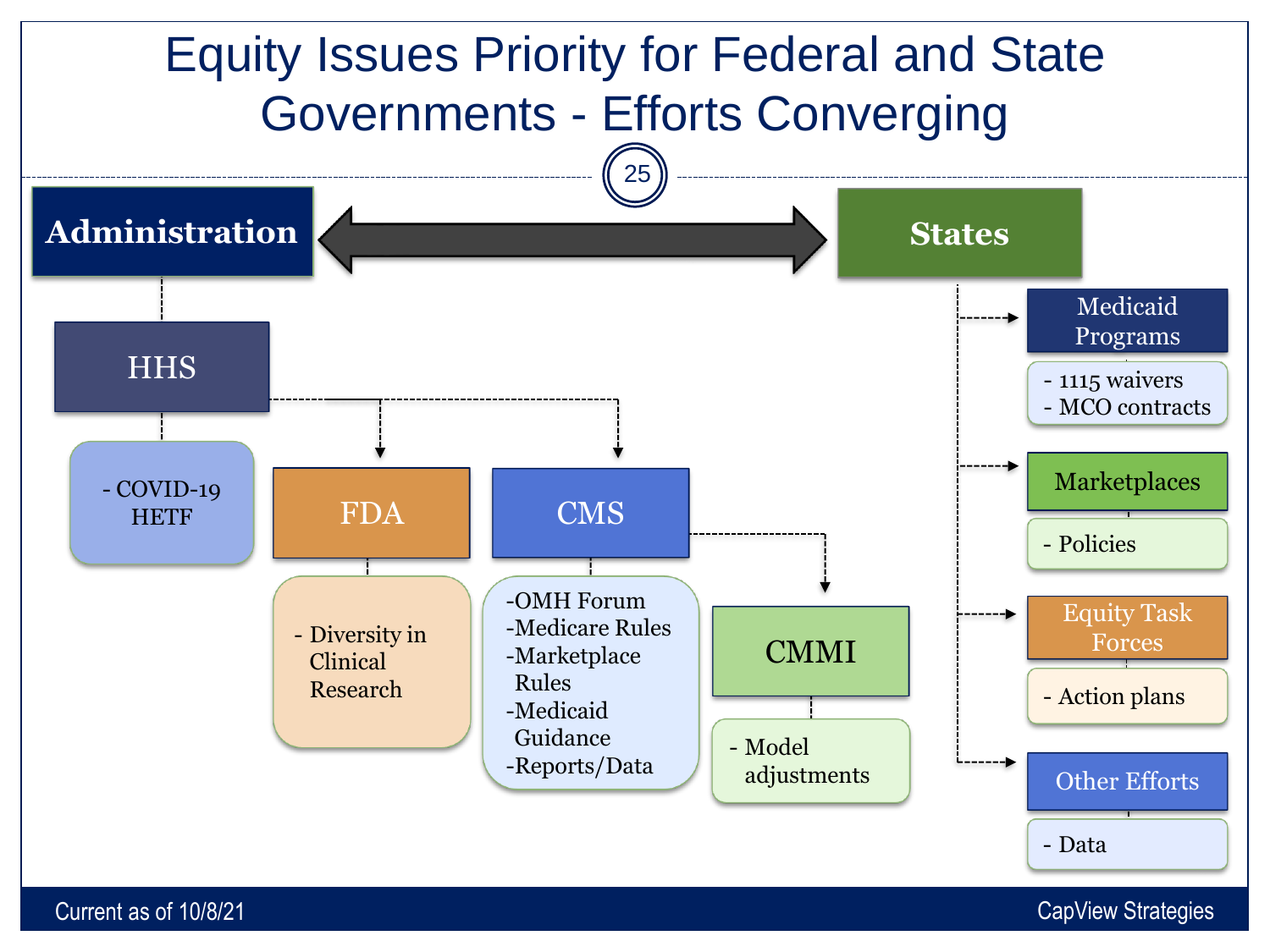

Current as of 10/8/21